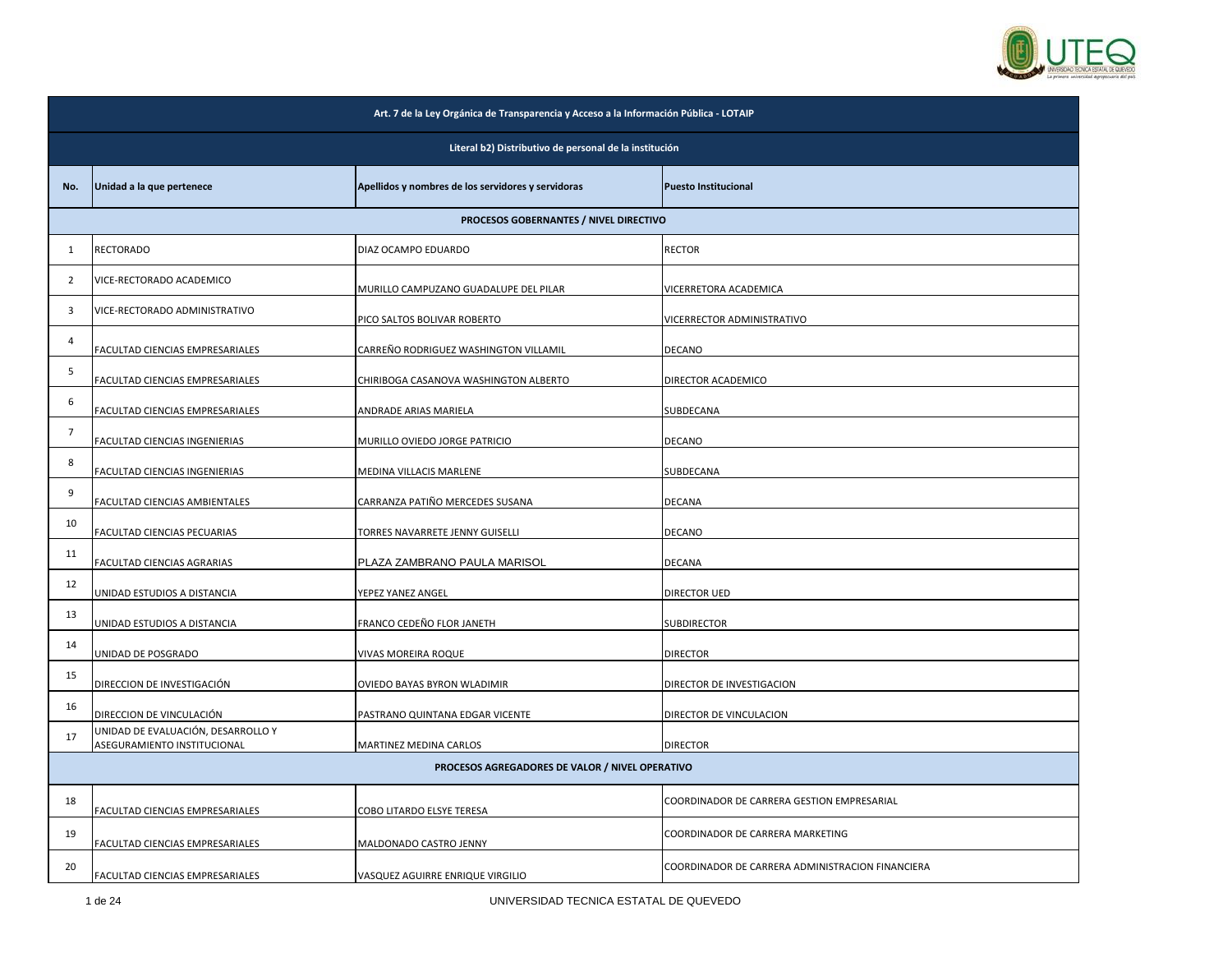

|                | Art. 7 de la Ley Orgánica de Transparencia y Acceso a la Información Pública - LOTAIP |                                                    |                                                  |  |
|----------------|---------------------------------------------------------------------------------------|----------------------------------------------------|--------------------------------------------------|--|
|                | Literal b2) Distributivo de personal de la institución                                |                                                    |                                                  |  |
| No.            | Unidad a la que pertenece                                                             | Apellidos y nombres de los servidores y servidoras | <b>Puesto Institucional</b>                      |  |
|                |                                                                                       | PROCESOS GOBERNANTES / NIVEL DIRECTIVO             |                                                  |  |
| 1              | RECTORADO                                                                             | DIAZ OCAMPO EDUARDO                                | <b>RECTOR</b>                                    |  |
| $\overline{2}$ | VICE-RECTORADO ACADEMICO                                                              | MURILLO CAMPUZANO GUADALUPE DEL PILAR              | VICERRETORA ACADEMICA                            |  |
| 3              | VICE-RECTORADO ADMINISTRATIVO                                                         | PICO SALTOS BOLIVAR ROBERTO                        | VICERRECTOR ADMINISTRATIVO                       |  |
| 4              | FACULTAD CIENCIAS EMPRESARIALES                                                       | CARREÑO RODRIGUEZ WASHINGTON VILLAMIL              | <b>DECANO</b>                                    |  |
| 5              | FACULTAD CIENCIAS EMPRESARIALES                                                       | CHIRIBOGA CASANOVA WASHINGTON ALBERTO              | DIRECTOR ACADEMICO                               |  |
| 6              | FACULTAD CIENCIAS EMPRESARIALES                                                       | ANDRADE ARIAS MARIELA                              | SUBDECANA                                        |  |
| $\overline{7}$ | FACULTAD CIENCIAS INGENIERIAS                                                         | MURILLO OVIEDO JORGE PATRICIO                      | DECANO                                           |  |
| 8              | FACULTAD CIENCIAS INGENIERIAS                                                         | MEDINA VILLACIS MARLENE                            | SUBDECANA                                        |  |
| 9              | FACULTAD CIENCIAS AMBIENTALES                                                         | CARRANZA PATIÑO MERCEDES SUSANA                    | DECANA                                           |  |
| 10             | FACULTAD CIENCIAS PECUARIAS                                                           | TORRES NAVARRETE JENNY GUISELLI                    | DECANO                                           |  |
| 11             | FACULTAD CIENCIAS AGRARIAS                                                            | PLAZA ZAMBRANO PAULA MARISOL                       | DECANA                                           |  |
| 12             | UNIDAD ESTUDIOS A DISTANCIA                                                           | YEPEZ YANEZ ANGEL                                  | DIRECTOR UED                                     |  |
| 13             | UNIDAD ESTUDIOS A DISTANCIA                                                           | FRANCO CEDEÑO FLOR JANETH                          | SUBDIRECTOR                                      |  |
| 14             | UNIDAD DE POSGRADO                                                                    | VIVAS MOREIRA ROQUE                                | <b>DIRECTOR</b>                                  |  |
| 15             | DIRECCION DE INVESTIGACIÓN                                                            | OVIEDO BAYAS BYRON WLADIMIR                        | DIRECTOR DE INVESTIGACION                        |  |
| 16             | DIRECCION DE VINCULACIÓN                                                              | PASTRANO QUINTANA EDGAR VICENTE                    | DIRECTOR DE VINCULACION                          |  |
| 17             | UNIDAD DE EVALUACIÓN, DESARROLLO Y<br>ASEGURAMIENTO INSTITUCIONAL                     | MARTINEZ MEDINA CARLOS                             | <b>DIRECTOR</b>                                  |  |
|                |                                                                                       | PROCESOS AGREGADORES DE VALOR / NIVEL OPERATIVO    |                                                  |  |
| 18             | FACULTAD CIENCIAS EMPRESARIALES                                                       | COBO LITARDO ELSYE TERESA                          | COORDINADOR DE CARRERA GESTION EMPRESARIAL       |  |
| 19             | FACULTAD CIENCIAS EMPRESARIALES                                                       | MALDONADO CASTRO JENNY                             | COORDINADOR DE CARRERA MARKETING                 |  |
| 20             | FACULTAD CIENCIAS EMPRESARIALES                                                       | VASQUEZ AGUIRRE ENRIQUE VIRGILIO                   | COORDINADOR DE CARRERA ADMINISTRACION FINANCIERA |  |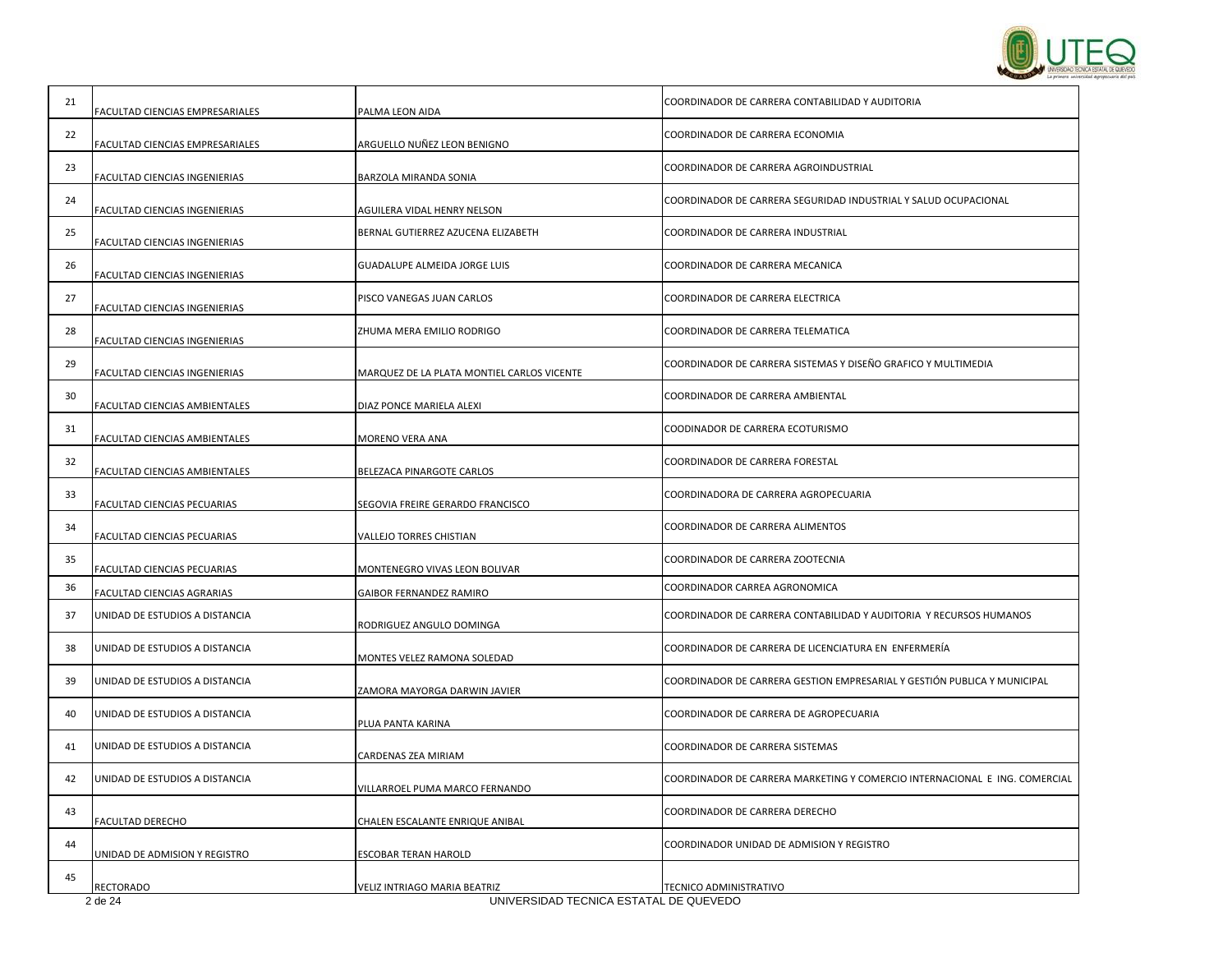

| 21 | FACULTAD CIENCIAS EMPRESARIALES | PALMA LEON AIDA                            | COORDINADOR DE CARRERA CONTABILIDAD Y AUDITORIA                            |
|----|---------------------------------|--------------------------------------------|----------------------------------------------------------------------------|
| 22 | FACULTAD CIENCIAS EMPRESARIALES | ARGUELLO NUÑEZ LEON BENIGNO                | COORDINADOR DE CARRERA ECONOMIA                                            |
| 23 | FACULTAD CIENCIAS INGENIERIAS   | BARZOLA MIRANDA SONIA                      | COORDINADOR DE CARRERA AGROINDUSTRIAL                                      |
| 24 | FACULTAD CIENCIAS INGENIERIAS   | AGUILERA VIDAL HENRY NELSON                | COORDINADOR DE CARRERA SEGURIDAD INDUSTRIAL Y SALUD OCUPACIONAL            |
| 25 | FACULTAD CIENCIAS INGENIERIAS   | BERNAL GUTIERREZ AZUCENA ELIZABETH         | COORDINADOR DE CARRERA INDUSTRIAL                                          |
| 26 | FACULTAD CIENCIAS INGENIERIAS   | <b>GUADALUPE ALMEIDA JORGE LUIS</b>        | COORDINADOR DE CARRERA MECANICA                                            |
| 27 | FACULTAD CIENCIAS INGENIERIAS   | PISCO VANEGAS JUAN CARLOS                  | COORDINADOR DE CARRERA ELECTRICA                                           |
| 28 | FACULTAD CIENCIAS INGENIERIAS   | ZHUMA MERA EMILIO RODRIGO                  | COORDINADOR DE CARRERA TELEMATICA                                          |
| 29 | FACULTAD CIENCIAS INGENIERIAS   | MARQUEZ DE LA PLATA MONTIEL CARLOS VICENTE | COORDINADOR DE CARRERA SISTEMAS Y DISEÑO GRAFICO Y MULTIMEDIA              |
| 30 | FACULTAD CIENCIAS AMBIENTALES   | DIAZ PONCE MARIELA ALEXI                   | COORDINADOR DE CARRERA AMBIENTAL                                           |
| 31 | FACULTAD CIENCIAS AMBIENTALES   | MORENO VERA ANA                            | COODINADOR DE CARRERA ECOTURISMO                                           |
| 32 | FACULTAD CIENCIAS AMBIENTALES   | BELEZACA PINARGOTE CARLOS                  | COORDINADOR DE CARRERA FORESTAL                                            |
| 33 | FACULTAD CIENCIAS PECUARIAS     | SEGOVIA FREIRE GERARDO FRANCISCO           | COORDINADORA DE CARRERA AGROPECUARIA                                       |
| 34 | FACULTAD CIENCIAS PECUARIAS     | VALLEJO TORRES CHISTIAN                    | COORDINADOR DE CARRERA ALIMENTOS                                           |
| 35 | FACULTAD CIENCIAS PECUARIAS     | MONTENEGRO VIVAS LEON BOLIVAR              | COORDINADOR DE CARRERA ZOOTECNIA                                           |
| 36 | FACULTAD CIENCIAS AGRARIAS      | GAIBOR FERNANDEZ RAMIRO                    | COORDINADOR CARREA AGRONOMICA                                              |
| 37 | UNIDAD DE ESTUDIOS A DISTANCIA  | RODRIGUEZ ANGULO DOMINGA                   | COORDINADOR DE CARRERA CONTABILIDAD Y AUDITORIA Y RECURSOS HUMANOS         |
| 38 | UNIDAD DE ESTUDIOS A DISTANCIA  | MONTES VELEZ RAMONA SOLEDAD                | COORDINADOR DE CARRERA DE LICENCIATURA EN ENFERMERÍA                       |
| 39 | UNIDAD DE ESTUDIOS A DISTANCIA  | ZAMORA MAYORGA DARWIN JAVIER               | COORDINADOR DE CARRERA GESTION EMPRESARIAL Y GESTIÓN PUBLICA Y MUNICIPAL   |
| 40 | UNIDAD DE ESTUDIOS A DISTANCIA  | PLUA PANTA KARINA                          | COORDINADOR DE CARRERA DE AGROPECUARIA                                     |
| 41 | UNIDAD DE ESTUDIOS A DISTANCIA  | CARDENAS ZEA MIRIAM                        | COORDINADOR DE CARRERA SISTEMAS                                            |
| 42 | UNIDAD DE ESTUDIOS A DISTANCIA  | VILLARROEL PUMA MARCO FERNANDO             | COORDINADOR DE CARRERA MARKETING Y COMERCIO INTERNACIONAL E ING. COMERCIAL |
| 43 | FACULTAD DERECHO                | CHALEN ESCALANTE ENRIQUE ANIBAL            | COORDINADOR DE CARRERA DERECHO                                             |
| 44 | UNIDAD DE ADMISION Y REGISTRO   | ESCOBAR TERAN HAROLD                       | COORDINADOR UNIDAD DE ADMISION Y REGISTRO                                  |
| 45 | RECTORADO                       | VELIZ INTRIAGO MARIA BEATRIZ               | TECNICO ADMINISTRATIVO                                                     |
|    | 2 de 24                         | UNIVERSIDAD TECNICA ESTATAL DE QUEVEDO     |                                                                            |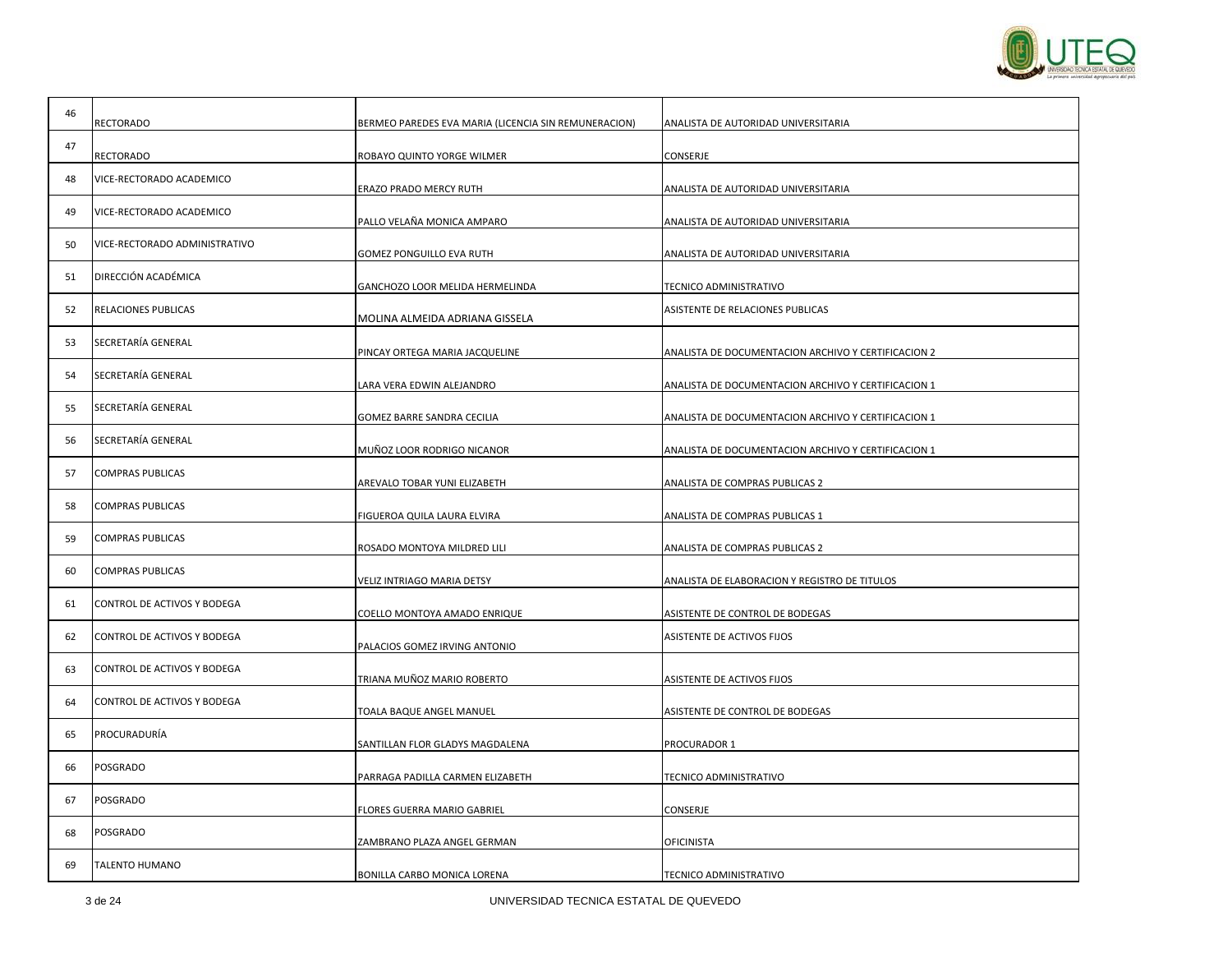

| 46 |                               |                                                      |                                                     |
|----|-------------------------------|------------------------------------------------------|-----------------------------------------------------|
|    | <b>RECTORADO</b>              | BERMEO PAREDES EVA MARIA (LICENCIA SIN REMUNERACION) | ANALISTA DE AUTORIDAD UNIVERSITARIA                 |
| 47 |                               |                                                      |                                                     |
|    | <b>RECTORADO</b>              | ROBAYO QUINTO YORGE WILMER                           | CONSERJE                                            |
| 48 | VICE-RECTORADO ACADEMICO      |                                                      |                                                     |
|    |                               | ERAZO PRADO MERCY RUTH                               | ANALISTA DE AUTORIDAD UNIVERSITARIA                 |
| 49 | VICE-RECTORADO ACADEMICO      | PALLO VELAÑA MONICA AMPARO                           | ANALISTA DE AUTORIDAD UNIVERSITARIA                 |
| 50 | VICE-RECTORADO ADMINISTRATIVO | GOMEZ PONGUILLO EVA RUTH                             | ANALISTA DE AUTORIDAD UNIVERSITARIA                 |
| 51 | DIRECCIÓN ACADÉMICA           |                                                      |                                                     |
|    |                               | GANCHOZO LOOR MELIDA HERMELINDA                      | TECNICO ADMINISTRATIVO                              |
| 52 | RELACIONES PUBLICAS           | MOLINA ALMEIDA ADRIANA GISSELA                       | ASISTENTE DE RELACIONES PUBLICAS                    |
| 53 | SECRETARÍA GENERAL            |                                                      |                                                     |
|    |                               | PINCAY ORTEGA MARIA JACQUELINE                       | ANALISTA DE DOCUMENTACION ARCHIVO Y CERTIFICACION 2 |
| 54 | SECRETARÍA GENERAL            | LARA VERA EDWIN ALEJANDRO                            | ANALISTA DE DOCUMENTACION ARCHIVO Y CERTIFICACION 1 |
|    | SECRETARÍA GENERAL            |                                                      |                                                     |
| 55 |                               | GOMEZ BARRE SANDRA CECILIA                           | ANALISTA DE DOCUMENTACION ARCHIVO Y CERTIFICACION 1 |
| 56 | SECRETARÍA GENERAL            | MUÑOZ LOOR RODRIGO NICANOR                           | ANALISTA DE DOCUMENTACION ARCHIVO Y CERTIFICACION 1 |
|    |                               |                                                      |                                                     |
| 57 | <b>COMPRAS PUBLICAS</b>       | AREVALO TOBAR YUNI ELIZABETH                         | ANALISTA DE COMPRAS PUBLICAS 2                      |
| 58 | <b>COMPRAS PUBLICAS</b>       | FIGUEROA QUILA LAURA ELVIRA                          | ANALISTA DE COMPRAS PUBLICAS 1                      |
| 59 | <b>COMPRAS PUBLICAS</b>       |                                                      |                                                     |
|    |                               | ROSADO MONTOYA MILDRED LILI                          | ANALISTA DE COMPRAS PUBLICAS 2                      |
| 60 | <b>COMPRAS PUBLICAS</b>       |                                                      |                                                     |
|    |                               | VELIZ INTRIAGO MARIA DETSY                           | ANALISTA DE ELABORACION Y REGISTRO DE TITULOS       |
| 61 | CONTROL DE ACTIVOS Y BODEGA   |                                                      |                                                     |
|    |                               | COELLO MONTOYA AMADO ENRIQUE                         | ASISTENTE DE CONTROL DE BODEGAS                     |
| 62 | CONTROL DE ACTIVOS Y BODEGA   | PALACIOS GOMEZ IRVING ANTONIO                        | ASISTENTE DE ACTIVOS FIJOS                          |
| 63 | CONTROL DE ACTIVOS Y BODEGA   | TRIANA MUÑOZ MARIO ROBERTO                           | ASISTENTE DE ACTIVOS FIJOS                          |
|    |                               |                                                      |                                                     |
| 64 | CONTROL DE ACTIVOS Y BODEGA   | TOALA BAQUE ANGEL MANUEL                             | ASISTENTE DE CONTROL DE BODEGAS                     |
| 65 | PROCURADURÍA                  | SANTILLAN FLOR GLADYS MAGDALENA                      | PROCURADOR 1                                        |
| 66 | POSGRADO                      |                                                      |                                                     |
|    |                               | PARRAGA PADILLA CARMEN ELIZABETH                     | TECNICO ADMINISTRATIVO                              |
| 67 | <b>POSGRADO</b>               | LORES GUERRA MARIO GABRIEL                           | CONSERJE                                            |
| 68 | <b>POSGRADO</b>               |                                                      |                                                     |
|    |                               | ZAMBRANO PLAZA ANGEL GERMAN                          | <b>OFICINISTA</b>                                   |
| 69 | <b>TALENTO HUMANO</b>         | BONILLA CARBO MONICA LORENA                          | TECNICO ADMINISTRATIVO                              |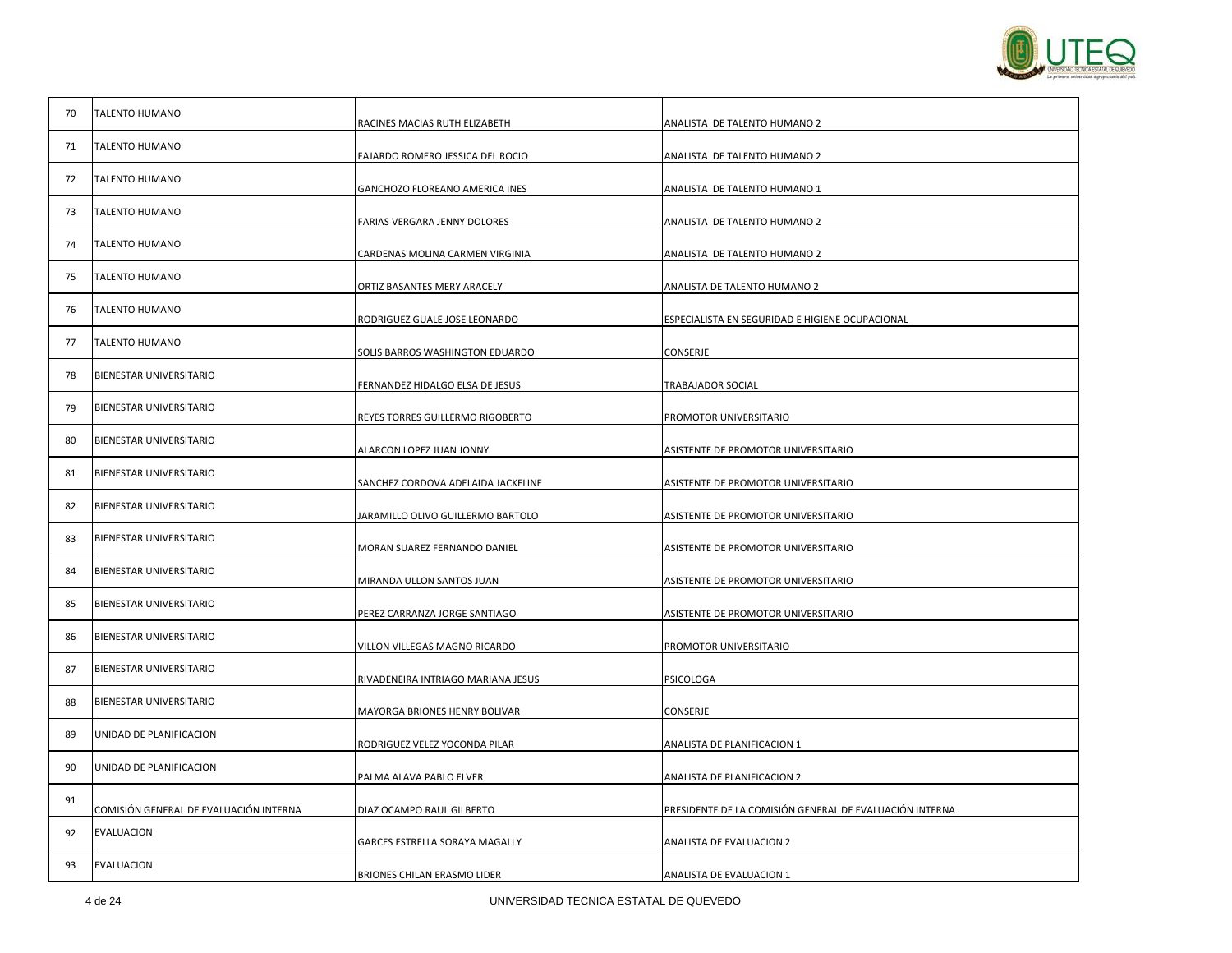

| 70 | <b>TALENTO HUMANO</b>                  | RACINES MACIAS RUTH ELIZABETH      | ANALISTA DE TALENTO HUMANO 2                            |
|----|----------------------------------------|------------------------------------|---------------------------------------------------------|
| 71 | <b>TALENTO HUMANO</b>                  |                                    | ANALISTA DE TALENTO HUMANO 2                            |
| 72 | <b>TALENTO HUMANO</b>                  | FAJARDO ROMERO JESSICA DEL ROCIO   |                                                         |
| 73 | <b>TALENTO HUMANO</b>                  | GANCHOZO FLOREANO AMERICA INES     | ANALISTA DE TALENTO HUMANO 1                            |
| 74 | <b>TALENTO HUMANO</b>                  | FARIAS VERGARA JENNY DOLORES       | ANALISTA DE TALENTO HUMANO 2                            |
| 75 | <b>TALENTO HUMANO</b>                  | CARDENAS MOLINA CARMEN VIRGINIA    | ANALISTA DE TALENTO HUMANO 2                            |
|    |                                        | ORTIZ BASANTES MERY ARACELY        | ANALISTA DE TALENTO HUMANO 2                            |
| 76 | TALENTO HUMANO                         | RODRIGUEZ GUALE JOSE LEONARDO      | ESPECIALISTA EN SEGURIDAD E HIGIENE OCUPACIONAL         |
| 77 | <b>TALENTO HUMANO</b>                  | SOLIS BARROS WASHINGTON EDUARDO    | CONSERJE                                                |
| 78 | BIENESTAR UNIVERSITARIO                | FERNANDEZ HIDALGO ELSA DE JESUS    | TRABAJADOR SOCIAL                                       |
| 79 | BIENESTAR UNIVERSITARIO                | REYES TORRES GUILLERMO RIGOBERTO   | PROMOTOR UNIVERSITARIO                                  |
| 80 | <b>BIENESTAR UNIVERSITARIO</b>         |                                    |                                                         |
| 81 | BIENESTAR UNIVERSITARIO                | ALARCON LOPEZ JUAN JONNY           | ASISTENTE DE PROMOTOR UNIVERSITARIO                     |
|    |                                        | SANCHEZ CORDOVA ADELAIDA JACKELINE | ASISTENTE DE PROMOTOR UNIVERSITARIO                     |
| 82 | BIENESTAR UNIVERSITARIO                | JARAMILLO OLIVO GUILLERMO BARTOLO  | ASISTENTE DE PROMOTOR UNIVERSITARIO                     |
| 83 | <b>BIENESTAR UNIVERSITARIO</b>         | MORAN SUAREZ FERNANDO DANIEL       | ASISTENTE DE PROMOTOR UNIVERSITARIO                     |
| 84 | BIENESTAR UNIVERSITARIO                | MIRANDA ULLON SANTOS JUAN          | ASISTENTE DE PROMOTOR UNIVERSITARIO                     |
| 85 | BIENESTAR UNIVERSITARIO                | PEREZ CARRANZA JORGE SANTIAGO      | ASISTENTE DE PROMOTOR UNIVERSITARIO                     |
| 86 | BIENESTAR UNIVERSITARIO                | VILLON VILLEGAS MAGNO RICARDO      | PROMOTOR UNIVERSITARIO                                  |
| 87 | BIENESTAR UNIVERSITARIO                | RIVADENEIRA INTRIAGO MARIANA JESUS | PSICOLOGA                                               |
| 88 | BIENESTAR UNIVERSITARIO                |                                    |                                                         |
| 89 | UNIDAD DE PLANIFICACION                | MAYORGA BRIONES HENRY BOLIVAR      | CONSERJE                                                |
|    |                                        | RODRIGUEZ VELEZ YOCONDA PILAR      | ANALISTA DE PLANIFICACION 1                             |
| 90 | UNIDAD DE PLANIFICACION                | PALMA ALAVA PABLO ELVER            | ANALISTA DE PLANIFICACION 2                             |
| 91 | COMISIÓN GENERAL DE EVALUACIÓN INTERNA | DIAZ OCAMPO RAUL GILBERTO          | PRESIDENTE DE LA COMISIÓN GENERAL DE EVALUACIÓN INTERNA |
| 92 | EVALUACION                             | GARCES ESTRELLA SORAYA MAGALLY     | ANALISTA DE EVALUACION 2                                |
| 93 | <b>EVALUACION</b>                      | BRIONES CHILAN ERASMO LIDER        | ANALISTA DE EVALUACION 1                                |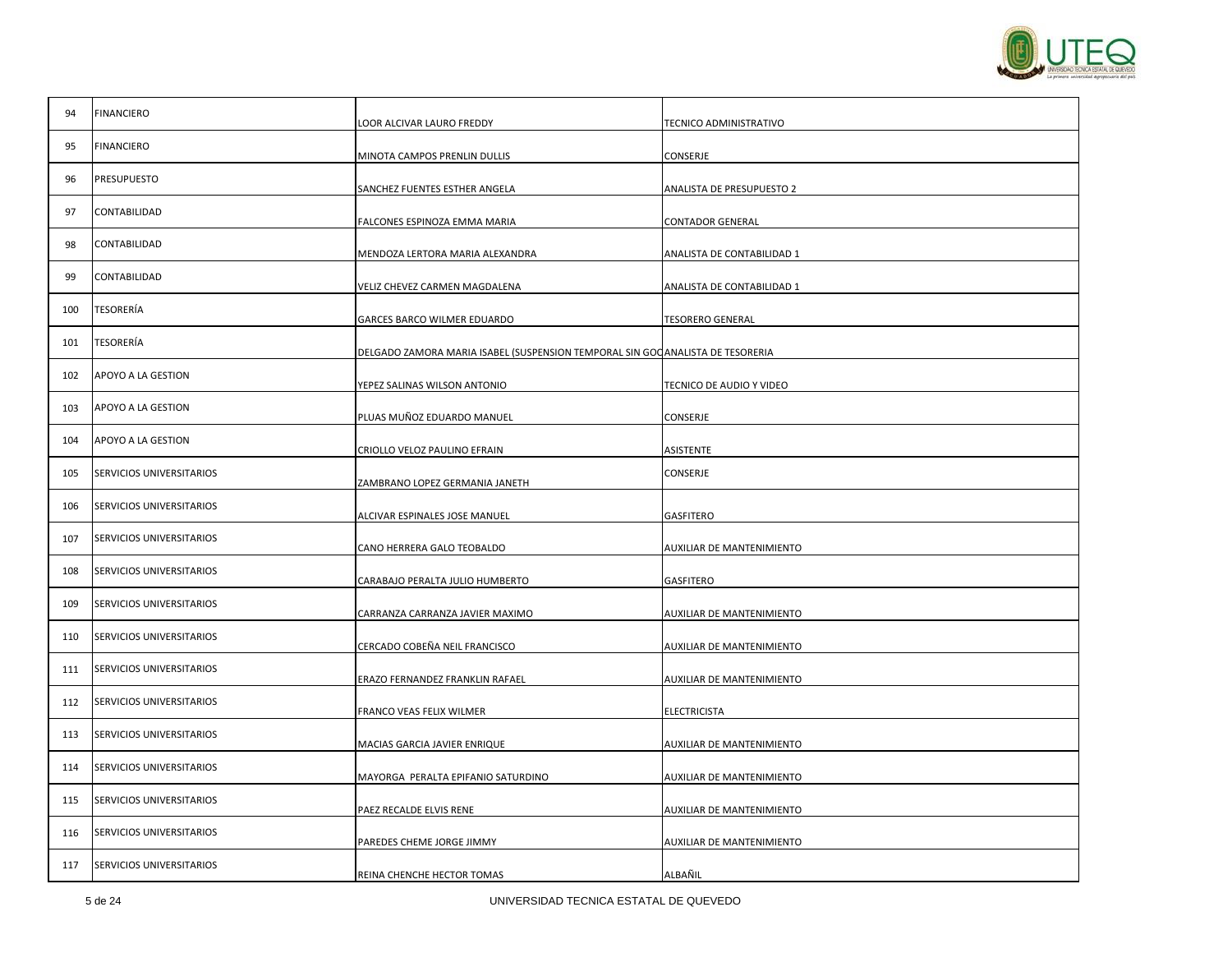

| 94  | <b>FINANCIERO</b>        | LOOR ALCIVAR LAURO FREDDY                                                      | TECNICO ADMINISTRATIVO     |
|-----|--------------------------|--------------------------------------------------------------------------------|----------------------------|
| 95  | <b>FINANCIERO</b>        | MINOTA CAMPOS PRENLIN DULLIS                                                   | CONSERJE                   |
| 96  | <b>PRESUPUESTO</b>       |                                                                                |                            |
| 97  | CONTABILIDAD             | SANCHEZ FUENTES ESTHER ANGELA                                                  | ANALISTA DE PRESUPUESTO 2  |
|     |                          | FALCONES ESPINOZA EMMA MARIA                                                   | <b>CONTADOR GENERAL</b>    |
| 98  | CONTABILIDAD             | MENDOZA LERTORA MARIA ALEXANDRA                                                | ANALISTA DE CONTABILIDAD 1 |
| 99  | CONTABILIDAD             | VELIZ CHEVEZ CARMEN MAGDALENA                                                  | ANALISTA DE CONTABILIDAD 1 |
| 100 | TESORERÍA                | GARCES BARCO WILMER EDUARDO                                                    | <b>TESORERO GENERAL</b>    |
| 101 | TESORERÍA                | DELGADO ZAMORA MARIA ISABEL (SUSPENSION TEMPORAL SIN GOC ANALISTA DE TESORERIA |                            |
| 102 | APOYO A LA GESTION       | YEPEZ SALINAS WILSON ANTONIO                                                   | TECNICO DE AUDIO Y VIDEO   |
| 103 | APOYO A LA GESTION       |                                                                                |                            |
| 104 | APOYO A LA GESTION       | PLUAS MUÑOZ EDUARDO MANUEL                                                     | CONSERJE                   |
|     |                          | CRIOLLO VELOZ PAULINO EFRAIN                                                   | ASISTENTE                  |
| 105 | SERVICIOS UNIVERSITARIOS | ZAMBRANO LOPEZ GERMANIA JANETH                                                 | CONSERJE                   |
| 106 | SERVICIOS UNIVERSITARIOS | ALCIVAR ESPINALES JOSE MANUEL                                                  | GASFITERO                  |
| 107 | SERVICIOS UNIVERSITARIOS | CANO HERRERA GALO TEOBALDO                                                     | AUXILIAR DE MANTENIMIENTO  |
| 108 | SERVICIOS UNIVERSITARIOS | CARABAJO PERALTA JULIO HUMBERTO                                                | <b>GASFITERO</b>           |
| 109 | SERVICIOS UNIVERSITARIOS | CARRANZA CARRANZA JAVIER MAXIMO                                                | AUXILIAR DE MANTENIMIENTO  |
| 110 | SERVICIOS UNIVERSITARIOS |                                                                                |                            |
| 111 | SERVICIOS UNIVERSITARIOS | CERCADO COBEÑA NEIL FRANCISCO                                                  | AUXILIAR DE MANTENIMIENTO  |
|     | SERVICIOS UNIVERSITARIOS | ERAZO FERNANDEZ FRANKLIN RAFAEL                                                | AUXILIAR DE MANTENIMIENTO  |
| 112 |                          | FRANCO VEAS FELIX WILMER                                                       | <b>ELECTRICISTA</b>        |
| 113 | SERVICIOS UNIVERSITARIOS | MACIAS GARCIA JAVIER ENRIQUE                                                   | AUXILIAR DE MANTENIMIENTO  |
| 114 | SERVICIOS UNIVERSITARIOS | MAYORGA PERALTA EPIFANIO SATURDINO                                             | AUXILIAR DE MANTENIMIENTO  |
| 115 | SERVICIOS UNIVERSITARIOS | PAEZ RECALDE ELVIS RENE                                                        | AUXILIAR DE MANTENIMIENTO  |
| 116 | SERVICIOS UNIVERSITARIOS | PAREDES CHEME JORGE JIMMY                                                      | AUXILIAR DE MANTENIMIENTO  |
| 117 | SERVICIOS UNIVERSITARIOS | REINA CHENCHE HECTOR TOMAS                                                     | ALBAÑIL                    |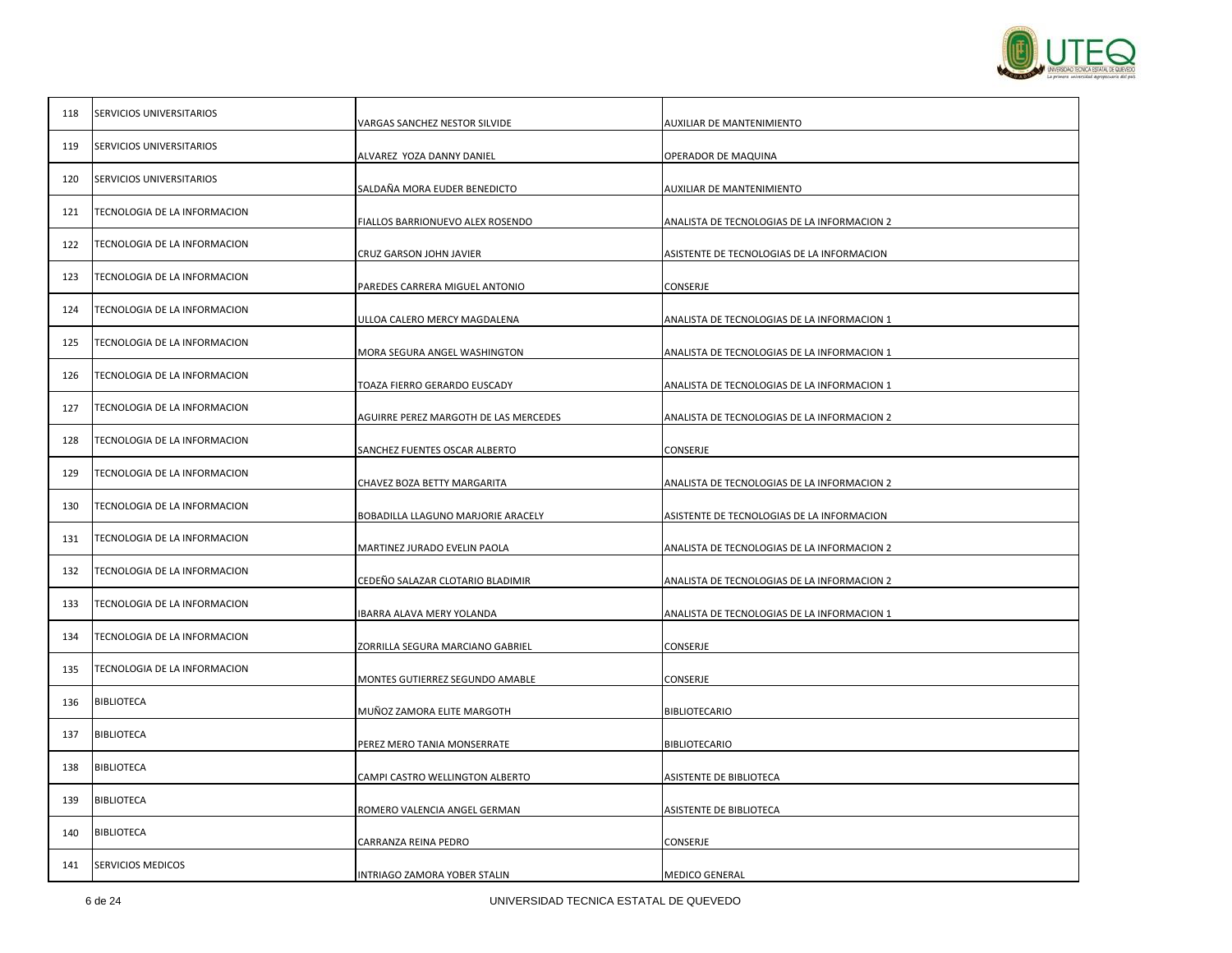

| 118 | SERVICIOS UNIVERSITARIOS     | VARGAS SANCHEZ NESTOR SILVIDE         | <b>AUXILIAR DE MANTENIMIENTO</b>                                                           |
|-----|------------------------------|---------------------------------------|--------------------------------------------------------------------------------------------|
| 119 | SERVICIOS UNIVERSITARIOS     | ALVAREZ YOZA DANNY DANIEL             | OPERADOR DE MAQUINA                                                                        |
| 120 | SERVICIOS UNIVERSITARIOS     | SALDAÑA MORA EUDER BENEDICTO          | AUXILIAR DE MANTENIMIENTO                                                                  |
| 121 | TECNOLOGIA DE LA INFORMACION | FIALLOS BARRIONUEVO ALEX ROSENDO      | ANALISTA DE TECNOLOGIAS DE LA INFORMACION 2                                                |
| 122 | TECNOLOGIA DE LA INFORMACION | CRUZ GARSON JOHN JAVIER               | ASISTENTE DE TECNOLOGIAS DE LA INFORMACION                                                 |
| 123 | TECNOLOGIA DE LA INFORMACION | PAREDES CARRERA MIGUEL ANTONIO        | CONSERJE                                                                                   |
| 124 | TECNOLOGIA DE LA INFORMACION | ULLOA CALERO MERCY MAGDALENA          | ANALISTA DE TECNOLOGIAS DE LA INFORMACION 1                                                |
| 125 | TECNOLOGIA DE LA INFORMACION |                                       |                                                                                            |
| 126 | TECNOLOGIA DE LA INFORMACION | MORA SEGURA ANGEL WASHINGTON          | ANALISTA DE TECNOLOGIAS DE LA INFORMACION 1<br>ANALISTA DE TECNOLOGIAS DE LA INFORMACION 1 |
| 127 | TECNOLOGIA DE LA INFORMACION | TOAZA FIERRO GERARDO EUSCADY          |                                                                                            |
| 128 | TECNOLOGIA DE LA INFORMACION | AGUIRRE PEREZ MARGOTH DE LAS MERCEDES | ANALISTA DE TECNOLOGIAS DE LA INFORMACION 2                                                |
| 129 | TECNOLOGIA DE LA INFORMACION | SANCHEZ FUENTES OSCAR ALBERTO         | CONSERJE                                                                                   |
| 130 | TECNOLOGIA DE LA INFORMACION | CHAVEZ BOZA BETTY MARGARITA           | ANALISTA DE TECNOLOGIAS DE LA INFORMACION 2                                                |
| 131 | TECNOLOGIA DE LA INFORMACION | BOBADILLA LLAGUNO MARJORIE ARACELY    | ASISTENTE DE TECNOLOGIAS DE LA INFORMACION                                                 |
| 132 | TECNOLOGIA DE LA INFORMACION | MARTINEZ JURADO EVELIN PAOLA          | ANALISTA DE TECNOLOGIAS DE LA INFORMACION 2                                                |
| 133 | TECNOLOGIA DE LA INFORMACION | CEDEÑO SALAZAR CLOTARIO BLADIMIR      | ANALISTA DE TECNOLOGIAS DE LA INFORMACION 2                                                |
| 134 | TECNOLOGIA DE LA INFORMACION | IBARRA ALAVA MERY YOLANDA             | ANALISTA DE TECNOLOGIAS DE LA INFORMACION 1                                                |
| 135 | TECNOLOGIA DE LA INFORMACION | ZORRILLA SEGURA MARCIANO GABRIEL      | CONSERJE                                                                                   |
| 136 | <b>BIBLIOTECA</b>            | MONTES GUTIERREZ SEGUNDO AMABLE       | CONSERJE                                                                                   |
| 137 | <b>BIBLIOTECA</b>            | MUÑOZ ZAMORA ELITE MARGOTH            | <b>BIBLIOTECARIO</b>                                                                       |
|     |                              | PEREZ MERO TANIA MONSERRATE           | <b>BIBLIOTECARIO</b>                                                                       |
| 138 | <b>BIBLIOTECA</b>            | CAMPI CASTRO WELLINGTON ALBERTO       | ASISTENTE DE BIBLIOTECA                                                                    |
| 139 | <b>BIBLIOTECA</b>            | ROMERO VALENCIA ANGEL GERMAN          | ASISTENTE DE BIBLIOTECA                                                                    |
| 140 | <b>BIBLIOTECA</b>            | CARRANZA REINA PEDRO                  | CONSERJE                                                                                   |
| 141 | SERVICIOS MEDICOS            | INTRIAGO ZAMORA YOBER STALIN          | <b>MEDICO GENERAL</b>                                                                      |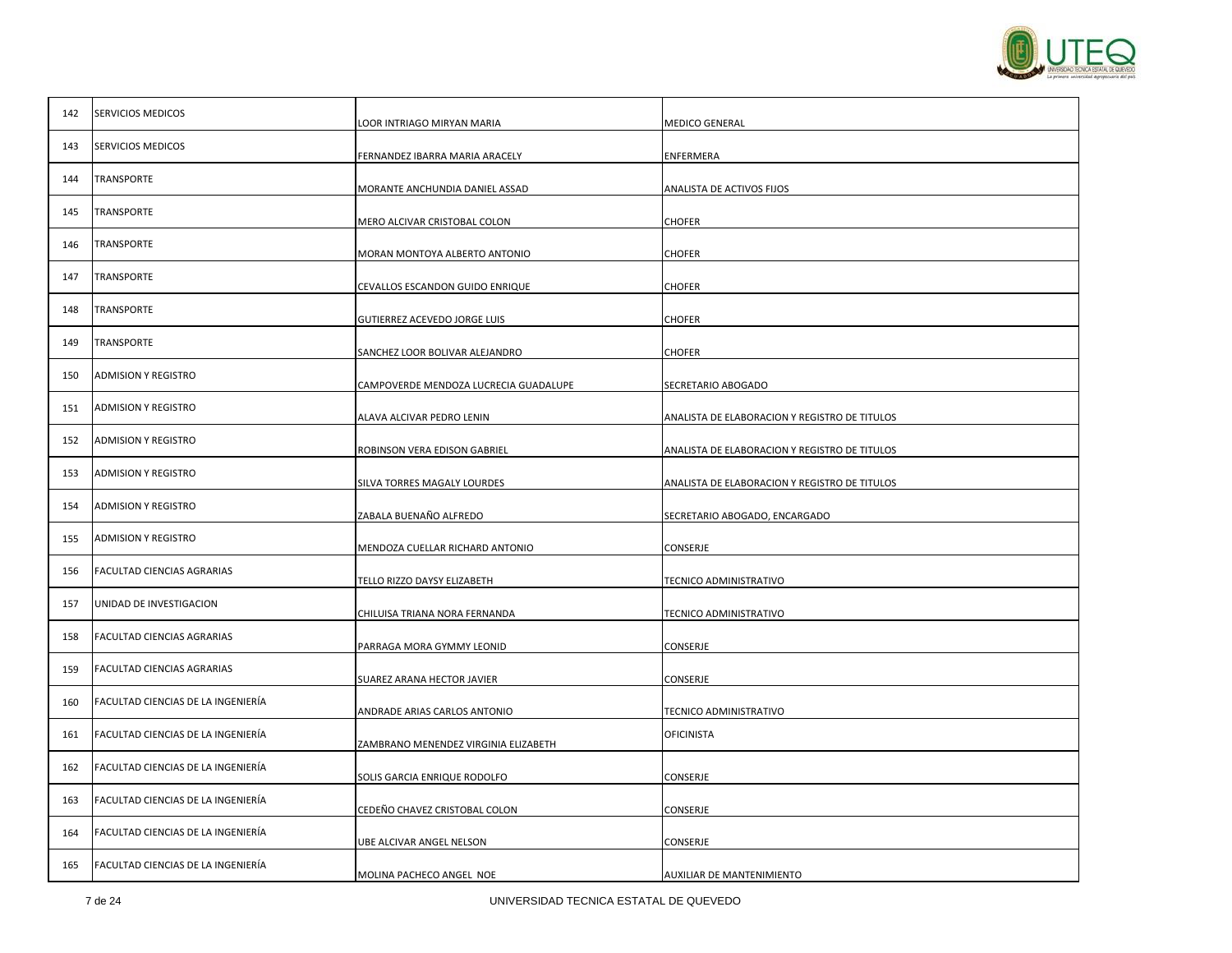

| 142 | SERVICIOS MEDICOS                  | LOOR INTRIAGO MIRYAN MARIA            | <b>MEDICO GENERAL</b>                         |
|-----|------------------------------------|---------------------------------------|-----------------------------------------------|
| 143 | <b>SERVICIOS MEDICOS</b>           |                                       | ENFERMERA                                     |
| 144 | <b>TRANSPORTE</b>                  | FERNANDEZ IBARRA MARIA ARACELY        |                                               |
| 145 | <b>TRANSPORTE</b>                  | MORANTE ANCHUNDIA DANIEL ASSAD        | ANALISTA DE ACTIVOS FIJOS                     |
|     |                                    | MERO ALCIVAR CRISTOBAL COLON          | <b>CHOFER</b>                                 |
| 146 | <b>TRANSPORTE</b>                  | MORAN MONTOYA ALBERTO ANTONIO         | <b>CHOFER</b>                                 |
| 147 | <b>TRANSPORTE</b>                  | CEVALLOS ESCANDON GUIDO ENRIQUE       | <b>CHOFER</b>                                 |
| 148 | <b>TRANSPORTE</b>                  | GUTIERREZ ACEVEDO JORGE LUIS          | <b>CHOFER</b>                                 |
| 149 | <b>TRANSPORTE</b>                  | SANCHEZ LOOR BOLIVAR ALEJANDRO        | <b>CHOFER</b>                                 |
| 150 | <b>ADMISION Y REGISTRO</b>         | CAMPOVERDE MENDOZA LUCRECIA GUADALUPE | SECRETARIO ABOGADO                            |
| 151 | <b>ADMISION Y REGISTRO</b>         | ALAVA ALCIVAR PEDRO LENIN             | ANALISTA DE ELABORACION Y REGISTRO DE TITULOS |
| 152 | <b>ADMISION Y REGISTRO</b>         | ROBINSON VERA EDISON GABRIEL          | ANALISTA DE ELABORACION Y REGISTRO DE TITULOS |
| 153 | <b>ADMISION Y REGISTRO</b>         | SILVA TORRES MAGALY LOURDES           | ANALISTA DE ELABORACION Y REGISTRO DE TITULOS |
| 154 | <b>ADMISION Y REGISTRO</b>         | ZABALA BUENAÑO ALFREDO                | SECRETARIO ABOGADO, ENCARGADO                 |
| 155 | <b>ADMISION Y REGISTRO</b>         | MENDOZA CUELLAR RICHARD ANTONIO       | CONSERJE                                      |
| 156 | FACULTAD CIENCIAS AGRARIAS         |                                       |                                               |
| 157 | UNIDAD DE INVESTIGACION            | TELLO RIZZO DAYSY ELIZABETH           | TECNICO ADMINISTRATIVO                        |
| 158 | FACULTAD CIENCIAS AGRARIAS         | CHILUISA TRIANA NORA FERNANDA         | TECNICO ADMINISTRATIVO                        |
| 159 | FACULTAD CIENCIAS AGRARIAS         | PARRAGA MORA GYMMY LEONID             | CONSERJE                                      |
|     | FACULTAD CIENCIAS DE LA INGENIERÍA | SUAREZ ARANA HECTOR JAVIER            | CONSERJE                                      |
| 160 |                                    | ANDRADE ARIAS CARLOS ANTONIO          | TECNICO ADMINISTRATIVO                        |
| 161 | FACULTAD CIENCIAS DE LA INGENIERÍA | ZAMBRANO MENENDEZ VIRGINIA ELIZABETH  | <b>OFICINISTA</b>                             |
| 162 | FACULTAD CIENCIAS DE LA INGENIERÍA | SOLIS GARCIA ENRIQUE RODOLFO          | CONSERJE                                      |
| 163 | FACULTAD CIENCIAS DE LA INGENIERÍA | CEDEÑO CHAVEZ CRISTOBAL COLON         | CONSERJE                                      |
| 164 | FACULTAD CIENCIAS DE LA INGENIERIA | UBE ALCIVAR ANGEL NELSON              | CONSERJE                                      |
| 165 | FACULTAD CIENCIAS DE LA INGENIERÍA | MOLINA PACHECO ANGEL NOE              | AUXILIAR DE MANTENIMIENTO                     |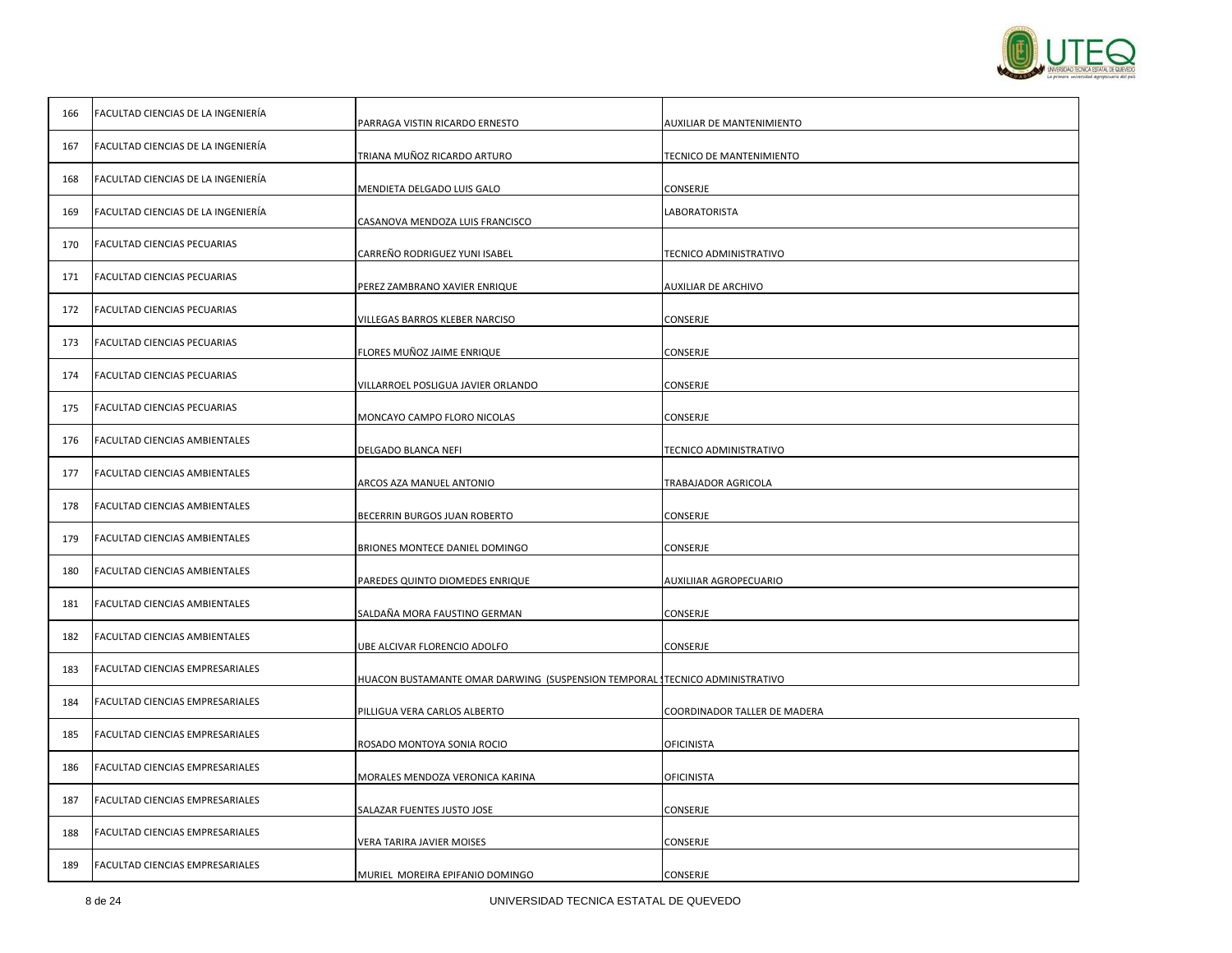

| 166 | FACULTAD CIENCIAS DE LA INGENIERÍA | PARRAGA VISTIN RICARDO ERNESTO                                             | <b>AUXILIAR DE MANTENIMIENTO</b> |
|-----|------------------------------------|----------------------------------------------------------------------------|----------------------------------|
| 167 | FACULTAD CIENCIAS DE LA INGENIERÍA | TRIANA MUÑOZ RICARDO ARTURO                                                | TECNICO DE MANTENIMIENTO         |
| 168 | FACULTAD CIENCIAS DE LA INGENIERÍA | MENDIETA DELGADO LUIS GALO                                                 | CONSERJE                         |
| 169 | FACULTAD CIENCIAS DE LA INGENIERÍA | CASANOVA MENDOZA LUIS FRANCISCO                                            | LABORATORISTA                    |
| 170 | FACULTAD CIENCIAS PECUARIAS        | CARREÑO RODRIGUEZ YUNI ISABEL                                              | TECNICO ADMINISTRATIVO           |
| 171 | FACULTAD CIENCIAS PECUARIAS        | PEREZ ZAMBRANO XAVIER ENRIQUE                                              | AUXILIAR DE ARCHIVO              |
| 172 | FACULTAD CIENCIAS PECUARIAS        | VILLEGAS BARROS KLEBER NARCISO                                             | CONSERJE                         |
| 173 | FACULTAD CIENCIAS PECUARIAS        | FLORES MUÑOZ JAIME ENRIQUE                                                 | CONSERJE                         |
| 174 | FACULTAD CIENCIAS PECUARIAS        | VILLARROEL POSLIGUA JAVIER ORLANDO                                         | CONSERJE                         |
| 175 | FACULTAD CIENCIAS PECUARIAS        | MONCAYO CAMPO FLORO NICOLAS                                                | CONSERJE                         |
| 176 | FACULTAD CIENCIAS AMBIENTALES      | DELGADO BLANCA NEFI                                                        | TECNICO ADMINISTRATIVO           |
| 177 | FACULTAD CIENCIAS AMBIENTALES      | ARCOS AZA MANUEL ANTONIO                                                   | TRABAJADOR AGRICOLA              |
| 178 | FACULTAD CIENCIAS AMBIENTALES      | BECERRIN BURGOS JUAN ROBERTO                                               | CONSERJE                         |
| 179 | FACULTAD CIENCIAS AMBIENTALES      |                                                                            |                                  |
| 180 | FACULTAD CIENCIAS AMBIENTALES      | BRIONES MONTECE DANIEL DOMINGO                                             | CONSERJE                         |
| 181 | FACULTAD CIENCIAS AMBIENTALES      | PAREDES QUINTO DIOMEDES ENRIQUE                                            | AUXILIIAR AGROPECUARIO           |
| 182 | FACULTAD CIENCIAS AMBIENTALES      | SALDAÑA MORA FAUSTINO GERMAN                                               | CONSERJE                         |
| 183 | FACULTAD CIENCIAS EMPRESARIALES    | UBE ALCIVAR FLORENCIO ADOLFO                                               | CONSERJE                         |
| 184 | FACULTAD CIENCIAS EMPRESARIALES    | HUACON BUSTAMANTE OMAR DARWING(SUSPENSION TEMPORAL ITECNICO ADMINISTRATIVO |                                  |
| 185 | FACULTAD CIENCIAS EMPRESARIALES    | PILLIGUA VERA CARLOS ALBERTO                                               | COORDINADOR TALLER DE MADERA     |
| 186 | FACULTAD CIENCIAS EMPRESARIALES    | ROSADO MONTOYA SONIA ROCIO                                                 | <b>OFICINISTA</b>                |
| 187 | FACULTAD CIENCIAS EMPRESARIALES    | MORALES MENDOZA VERONICA KARINA                                            | <b>OFICINISTA</b>                |
| 188 | FACULTAD CIENCIAS EMPRESARIALES    | SALAZAR FUENTES JUSTO JOSE                                                 | CONSERJE                         |
| 189 | FACULTAD CIENCIAS EMPRESARIALES    | VERA TARIRA JAVIER MOISES                                                  | CONSERJE                         |
|     |                                    | MURIEL MOREIRA EPIFANIO DOMINGO                                            | CONSERJE                         |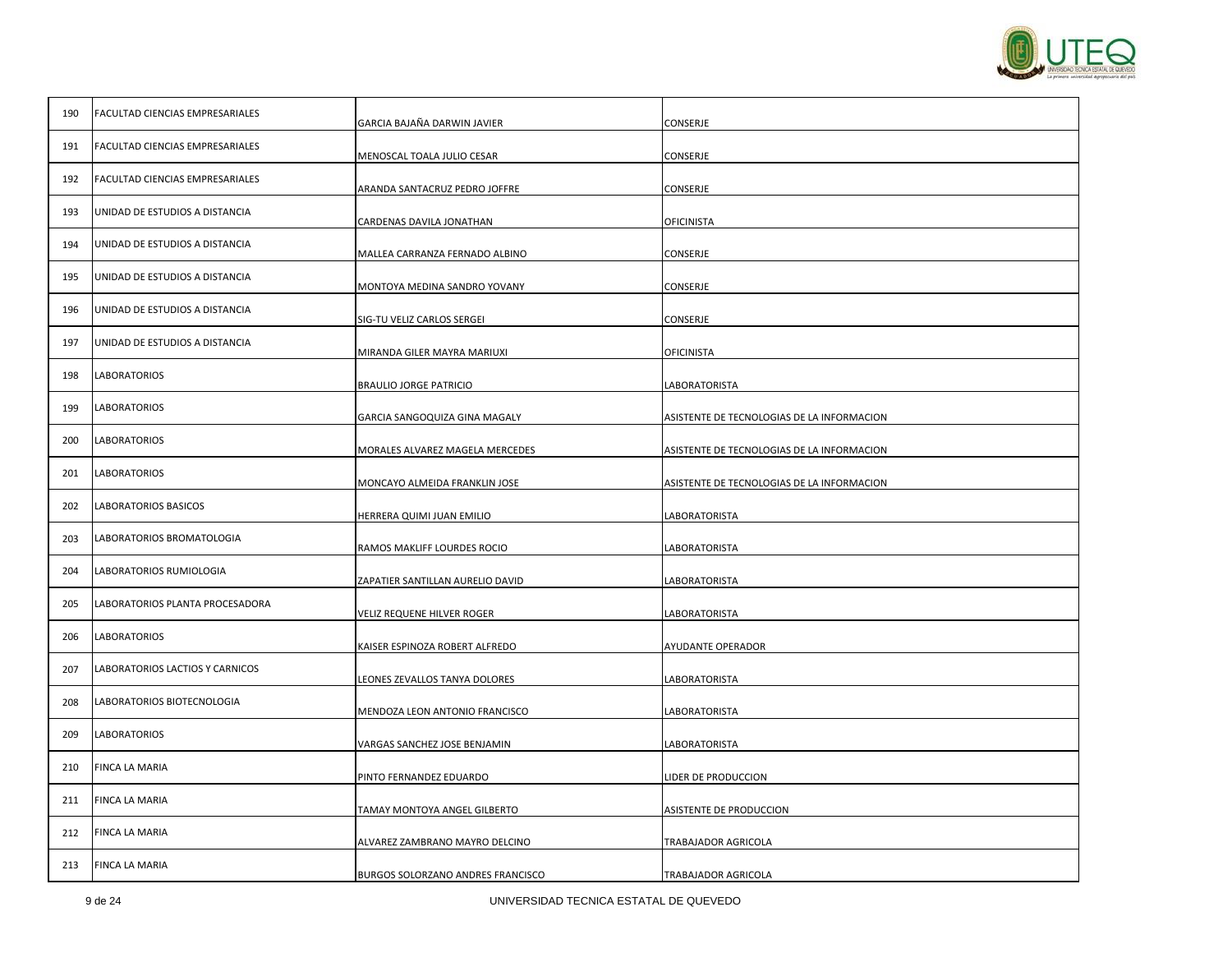## 9 de 24 UNIVERSIDAD TECNICA ESTATAL DE QUEVEDO

| 190 | FACULTAD CIENCIAS EMPRESARIALES | GARCIA BAJAÑA DARWIN JAVIER       | CONSERJE                                   |
|-----|---------------------------------|-----------------------------------|--------------------------------------------|
| 191 | FACULTAD CIENCIAS EMPRESARIALES | MENOSCAL TOALA JULIO CESAR        | CONSERJE                                   |
| 192 | FACULTAD CIENCIAS EMPRESARIALES | ARANDA SANTACRUZ PEDRO JOFFRE     | CONSERJE                                   |
| 193 | UNIDAD DE ESTUDIOS A DISTANCIA  | CARDENAS DAVILA JONATHAN          | OFICINISTA                                 |
| 194 | UNIDAD DE ESTUDIOS A DISTANCIA  | MALLEA CARRANZA FERNADO ALBINO    | CONSERJE                                   |
| 195 | UNIDAD DE ESTUDIOS A DISTANCIA  | MONTOYA MEDINA SANDRO YOVANY      | CONSERJE                                   |
| 196 | UNIDAD DE ESTUDIOS A DISTANCIA  | SIG-TU VELIZ CARLOS SERGEI        | CONSERJE                                   |
| 197 | UNIDAD DE ESTUDIOS A DISTANCIA  | MIRANDA GILER MAYRA MARIUXI       | <b>OFICINISTA</b>                          |
| 198 | LABORATORIOS                    | <b>BRAULIO JORGE PATRICIO</b>     | LABORATORISTA                              |
| 199 | LABORATORIOS                    | GARCIA SANGOQUIZA GINA MAGALY     | ASISTENTE DE TECNOLOGIAS DE LA INFORMACION |
| 200 | LABORATORIOS                    | MORALES ALVAREZ MAGELA MERCEDES   | ASISTENTE DE TECNOLOGIAS DE LA INFORMACION |
| 201 | <b>LABORATORIOS</b>             | MONCAYO ALMEIDA FRANKLIN JOSE     | ASISTENTE DE TECNOLOGIAS DE LA INFORMACION |
| 202 | LABORATORIOS BASICOS            | HERRERA QUIMI JUAN EMILIO         | LABORATORISTA                              |
| 203 | LABORATORIOS BROMATOLOGIA       | RAMOS MAKLIFF LOURDES ROCIO       | LABORATORISTA                              |
| 204 | LABORATORIOS RUMIOLOGIA         | ZAPATIER SANTILLAN AURELIO DAVID  | LABORATORISTA                              |
| 205 | LABORATORIOS PLANTA PROCESADORA | VELIZ REQUENE HILVER ROGER        | LABORATORISTA                              |
| 206 | <b>LABORATORIOS</b>             | KAISER ESPINOZA ROBERT ALFREDO    | AYUDANTE OPERADOR                          |
| 207 | LABORATORIOS LACTIOS Y CARNICOS | LEONES ZEVALLOS TANYA DOLORES     | LABORATORISTA                              |
| 208 | LABORATORIOS BIOTECNOLOGIA      | MENDOZA LEON ANTONIO FRANCISCO    | LABORATORISTA                              |
| 209 | LABORATORIOS                    | VARGAS SANCHEZ JOSE BENJAMIN      | LABORATORISTA                              |
| 210 | FINCA LA MARIA                  | PINTO FERNANDEZ EDUARDO           | LIDER DE PRODUCCION                        |
| 211 | FINCA LA MARIA                  | TAMAY MONTOYA ANGEL GILBERTO      | ASISTENTE DE PRODUCCION                    |
| 212 | FINCA LA MARIA                  | ALVAREZ ZAMBRANO MAYRO DELCINO    | TRABAJADOR AGRICOLA                        |
| 213 | FINCA LA MARIA                  | BURGOS SOLORZANO ANDRES FRANCISCO | TRABAJADOR AGRICOLA                        |

 $\mathbf{I}$ 

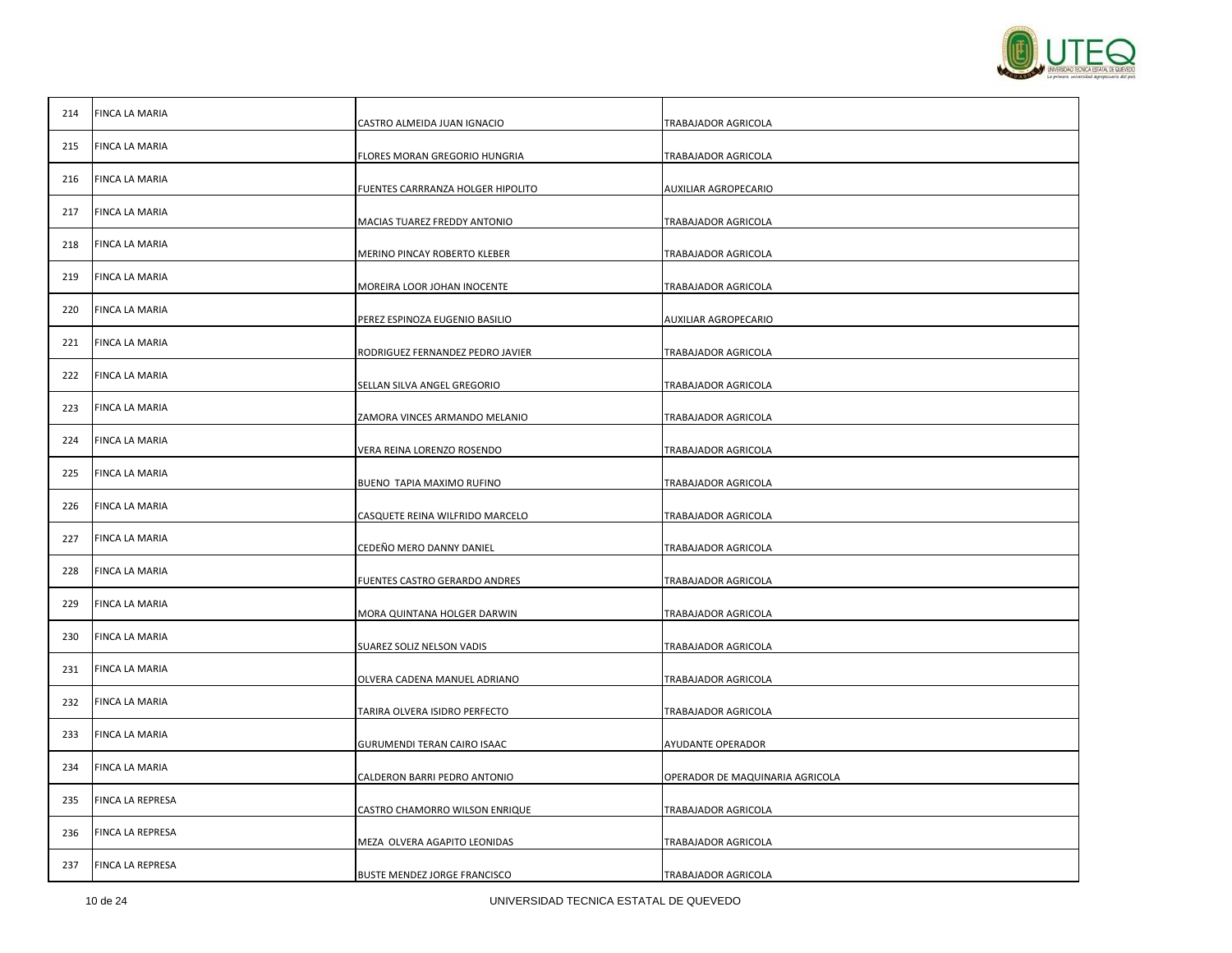| 214 | <b>FINCA LA MARIA</b> | CASTRO ALMEIDA JUAN IGNACIO         | TRABAJADOR AGRICOLA             |
|-----|-----------------------|-------------------------------------|---------------------------------|
| 215 | FINCA LA MARIA        |                                     |                                 |
|     |                       | FLORES MORAN GREGORIO HUNGRIA       | TRABAJADOR AGRICOLA             |
| 216 | FINCA LA MARIA        | FUENTES CARRRANZA HOLGER HIPOLITO   | AUXILIAR AGROPECARIO            |
| 217 | FINCA LA MARIA        | MACIAS TUAREZ FREDDY ANTONIO        | TRABAJADOR AGRICOLA             |
| 218 | FINCA LA MARIA        |                                     |                                 |
|     |                       | MERINO PINCAY ROBERTO KLEBER        | TRABAJADOR AGRICOLA             |
| 219 | FINCA LA MARIA        | MOREIRA LOOR JOHAN INOCENTE         | TRABAJADOR AGRICOLA             |
| 220 | FINCA LA MARIA        |                                     |                                 |
|     |                       | PEREZ ESPINOZA EUGENIO BASILIO      | AUXILIAR AGROPECARIO            |
| 221 | <b>FINCA LA MARIA</b> | RODRIGUEZ FERNANDEZ PEDRO JAVIER    | TRABAJADOR AGRICOLA             |
| 222 | FINCA LA MARIA        |                                     |                                 |
|     |                       | SELLAN SILVA ANGEL GREGORIO         | TRABAJADOR AGRICOLA             |
| 223 | FINCA LA MARIA        | ZAMORA VINCES ARMANDO MELANIO       | TRABAJADOR AGRICOLA             |
| 224 | FINCA LA MARIA        | VERA REINA LORENZO ROSENDO          | TRABAJADOR AGRICOLA             |
| 225 | FINCA LA MARIA        |                                     |                                 |
|     |                       | BUENO TAPIA MAXIMO RUFINO           | TRABAJADOR AGRICOLA             |
| 226 | FINCA LA MARIA        | CASQUETE REINA WILFRIDO MARCELO     | TRABAJADOR AGRICOLA             |
| 227 | FINCA LA MARIA        | CEDEÑO MERO DANNY DANIEL            | TRABAJADOR AGRICOLA             |
| 228 | <b>FINCA LA MARIA</b> |                                     |                                 |
|     |                       | FUENTES CASTRO GERARDO ANDRES       | TRABAJADOR AGRICOLA             |
| 229 | FINCA LA MARIA        | MORA QUINTANA HOLGER DARWIN         | TRABAJADOR AGRICOLA             |
| 230 | FINCA LA MARIA        |                                     |                                 |
|     |                       | SUAREZ SOLIZ NELSON VADIS           | TRABAJADOR AGRICOLA             |
| 231 | FINCA LA MARIA        | OLVERA CADENA MANUEL ADRIANO        | TRABAJADOR AGRICOLA             |
| 232 | <b>FINCA LA MARIA</b> | TARIRA OLVERA ISIDRO PERFECTO       | TRABAJADOR AGRICOLA             |
|     |                       |                                     |                                 |
| 233 | FINCA LA MARIA        | GURUMENDI TERAN CAIRO ISAAC         | AYUDANTE OPERADOR               |
| 234 | FINCA LA MARIA        | CALDERON BARRI PEDRO ANTONIO        | OPERADOR DE MAQUINARIA AGRICOLA |
| 235 | FINCA LA REPRESA      | CASTRO CHAMORRO WILSON ENRIQUE      |                                 |
|     |                       |                                     | TRABAJADOR AGRICOLA             |
| 236 | FINCA LA REPRESA      | MEZA OLVERA AGAPITO LEONIDAS        | TRABAJADOR AGRICOLA             |
| 237 | FINCA LA REPRESA      | <b>BUSTE MENDEZ JORGE FRANCISCO</b> | TRABAJADOR AGRICOLA             |
|     |                       |                                     |                                 |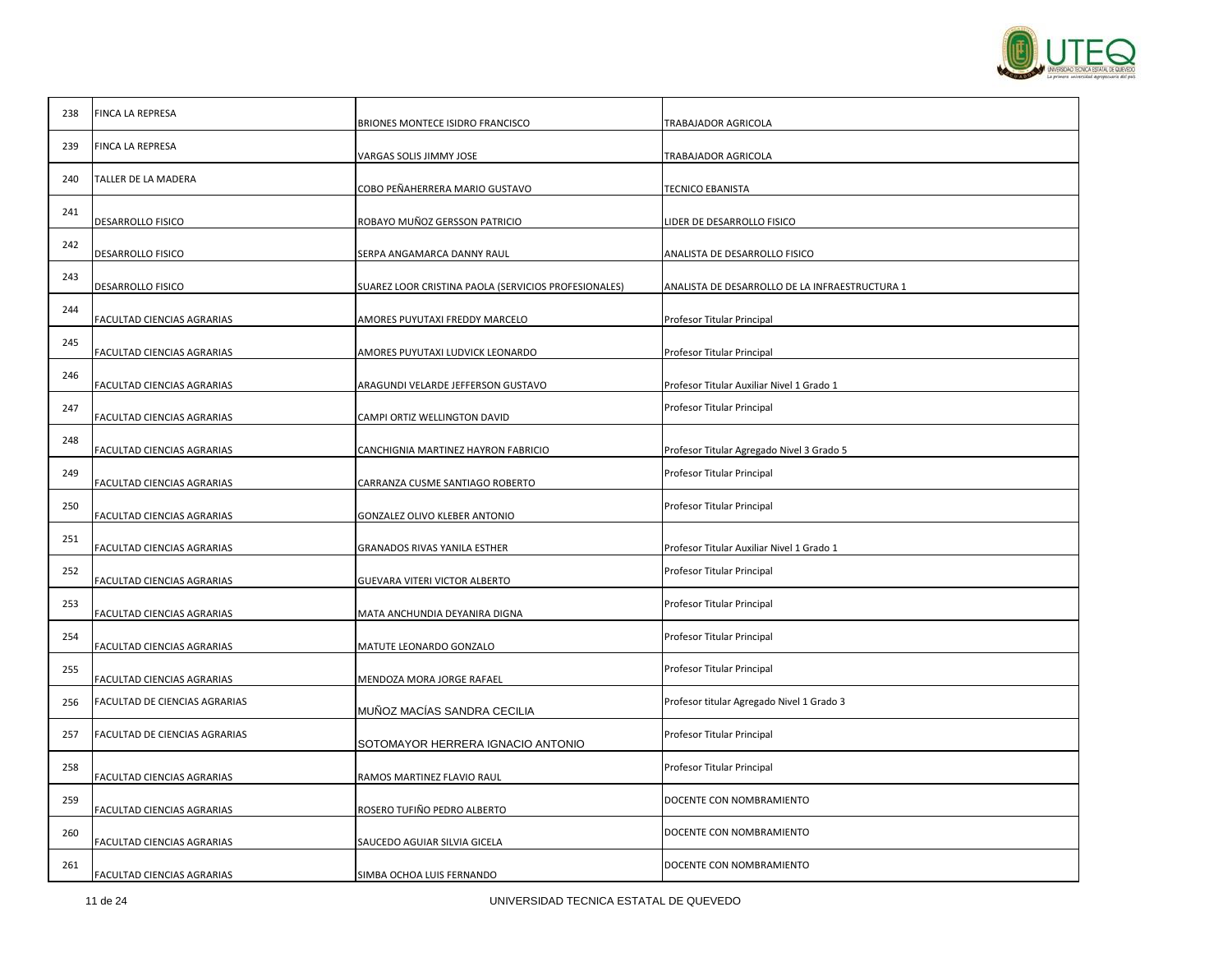

| 238 | FINCA LA REPRESA              | BRIONES MONTECE ISIDRO FRANCISCO                     | TRABAJADOR AGRICOLA                            |
|-----|-------------------------------|------------------------------------------------------|------------------------------------------------|
| 239 | FINCA LA REPRESA              | VARGAS SOLIS JIMMY JOSE                              | TRABAJADOR AGRICOLA                            |
| 240 | TALLER DE LA MADERA           | COBO PEÑAHERRERA MARIO GUSTAVO                       | TECNICO EBANISTA                               |
| 241 | DESARROLLO FISICO             | ROBAYO MUÑOZ GERSSON PATRICIO                        | LIDER DE DESARROLLO FISICO                     |
| 242 | DESARROLLO FISICO             | SERPA ANGAMARCA DANNY RAUL                           | ANALISTA DE DESARROLLO FISICO                  |
| 243 | DESARROLLO FISICO             | SUAREZ LOOR CRISTINA PAOLA (SERVICIOS PROFESIONALES) | ANALISTA DE DESARROLLO DE LA INFRAESTRUCTURA 1 |
| 244 | FACULTAD CIENCIAS AGRARIAS    | AMORES PUYUTAXI FREDDY MARCELO                       | Profesor Titular Principal                     |
| 245 | FACULTAD CIENCIAS AGRARIAS    | AMORES PUYUTAXI LUDVICK LEONARDO                     | Profesor Titular Principal                     |
| 246 | FACULTAD CIENCIAS AGRARIAS    | ARAGUNDI VELARDE JEFFERSON GUSTAVO                   | Profesor Titular Auxiliar Nivel 1 Grado 1      |
| 247 | FACULTAD CIENCIAS AGRARIAS    | CAMPI ORTIZ WELLINGTON DAVID                         | Profesor Titular Principal                     |
| 248 | FACULTAD CIENCIAS AGRARIAS    | CANCHIGNIA MARTINEZ HAYRON FABRICIO                  | Profesor Titular Agregado Nivel 3 Grado 5      |
| 249 | FACULTAD CIENCIAS AGRARIAS    | CARRANZA CUSME SANTIAGO ROBERTO                      | Profesor Titular Principal                     |
| 250 | FACULTAD CIENCIAS AGRARIAS    | GONZALEZ OLIVO KLEBER ANTONIO                        | Profesor Titular Principal                     |
| 251 | FACULTAD CIENCIAS AGRARIAS    | GRANADOS RIVAS YANILA ESTHER                         | Profesor Titular Auxiliar Nivel 1 Grado 1      |
| 252 | FACULTAD CIENCIAS AGRARIAS    | GUEVARA VITERI VICTOR ALBERTO                        | Profesor Titular Principal                     |
| 253 | FACULTAD CIENCIAS AGRARIAS    | MATA ANCHUNDIA DEYANIRA DIGNA                        | Profesor Titular Principal                     |
| 254 | FACULTAD CIENCIAS AGRARIAS    | MATUTE LEONARDO GONZALO                              | Profesor Titular Principal                     |
| 255 | FACULTAD CIENCIAS AGRARIAS    | MENDOZA MORA JORGE RAFAEL                            | Profesor Titular Principal                     |
| 256 | FACULTAD DE CIENCIAS AGRARIAS | MUÑOZ MACÍAS SANDRA CECILIA                          | Profesor titular Agregado Nivel 1 Grado 3      |
| 257 | FACULTAD DE CIENCIAS AGRARIAS | SOTOMAYOR HERRERA IGNACIO ANTONIO                    | Profesor Titular Principal                     |
| 258 | FACULTAD CIENCIAS AGRARIAS    | RAMOS MARTINEZ FLAVIO RAUL                           | Profesor Titular Principal                     |
| 259 | FACULTAD CIENCIAS AGRARIAS    | ROSERO TUFIÑO PEDRO ALBERTO                          | DOCENTE CON NOMBRAMIENTO                       |
| 260 | FACULTAD CIENCIAS AGRARIAS    | SAUCEDO AGUIAR SILVIA GICELA                         | DOCENTE CON NOMBRAMIENTO                       |
| 261 | FACULTAD CIENCIAS AGRARIAS    | SIMBA OCHOA LUIS FERNANDO                            | DOCENTE CON NOMBRAMIENTO                       |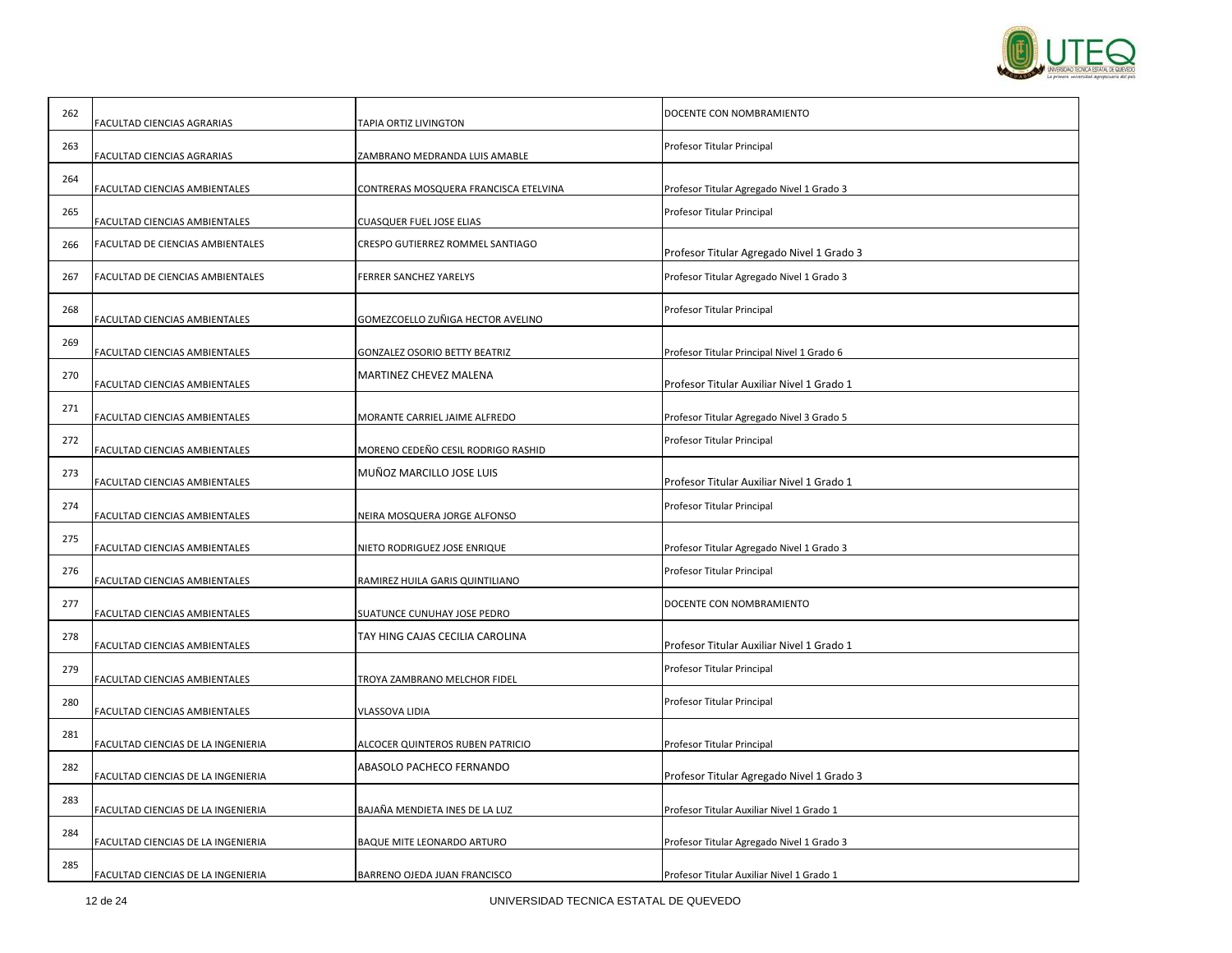

| 262 | FACULTAD CIENCIAS AGRARIAS         | TAPIA ORTIZ LIVINGTON                 | DOCENTE CON NOMBRAMIENTO                   |
|-----|------------------------------------|---------------------------------------|--------------------------------------------|
| 263 | FACULTAD CIENCIAS AGRARIAS         | ZAMBRANO MEDRANDA LUIS AMABLE         | Profesor Titular Principal                 |
| 264 | FACULTAD CIENCIAS AMBIENTALES      | CONTRERAS MOSQUERA FRANCISCA ETELVINA | Profesor Titular Agregado Nivel 1 Grado 3  |
| 265 | FACULTAD CIENCIAS AMBIENTALES      | CUASQUER FUEL JOSE ELIAS              | Profesor Titular Principal                 |
| 266 | FACULTAD DE CIENCIAS AMBIENTALES   | CRESPO GUTIERREZ ROMMEL SANTIAGO      | Profesor Titular Agregado Nivel 1 Grado 3  |
| 267 | FACULTAD DE CIENCIAS AMBIENTALES   | FERRER SANCHEZ YARELYS                | Profesor Titular Agregado Nivel 1 Grado 3  |
| 268 | FACULTAD CIENCIAS AMBIENTALES      | GOMEZCOELLO ZUÑIGA HECTOR AVELINO     | Profesor Titular Principal                 |
| 269 | FACULTAD CIENCIAS AMBIENTALES      | GONZALEZ OSORIO BETTY BEATRIZ         | Profesor Titular Principal Nivel 1 Grado 6 |
| 270 | FACULTAD CIENCIAS AMBIENTALES      | MARTINEZ CHEVEZ MALENA                | Profesor Titular Auxiliar Nivel 1 Grado 1  |
| 271 | FACULTAD CIENCIAS AMBIENTALES      | MORANTE CARRIEL JAIME ALFREDO         | Profesor Titular Agregado Nivel 3 Grado 5  |
| 272 | FACULTAD CIENCIAS AMBIENTALES      | MORENO CEDEÑO CESIL RODRIGO RASHID    | Profesor Titular Principal                 |
| 273 | FACULTAD CIENCIAS AMBIENTALES      | MUÑOZ MARCILLO JOSE LUIS              | Profesor Titular Auxiliar Nivel 1 Grado 1  |
| 274 | FACULTAD CIENCIAS AMBIENTALES      | NEIRA MOSQUERA JORGE ALFONSO          | Profesor Titular Principal                 |
| 275 | FACULTAD CIENCIAS AMBIENTALES      | NIETO RODRIGUEZ JOSE ENRIQUE          | Profesor Titular Agregado Nivel 1 Grado 3  |
| 276 | FACULTAD CIENCIAS AMBIENTALES      | RAMIREZ HUILA GARIS QUINTILIANO       | Profesor Titular Principal                 |
| 277 | FACULTAD CIENCIAS AMBIENTALES      | SUATUNCE CUNUHAY JOSE PEDRO           | DOCENTE CON NOMBRAMIENTO                   |
| 278 | FACULTAD CIENCIAS AMBIENTALES      | TAY HING CAJAS CECILIA CAROLINA       | Profesor Titular Auxiliar Nivel 1 Grado 1  |
| 279 | FACULTAD CIENCIAS AMBIENTALES      | TROYA ZAMBRANO MELCHOR FIDEL          | Profesor Titular Principal                 |
| 280 | FACULTAD CIENCIAS AMBIENTALES      | VLASSOVA LIDIA                        | Profesor Titular Principal                 |
| 281 | FACULTAD CIENCIAS DE LA INGENIERIA | ALCOCER QUINTEROS RUBEN PATRICIO      | Profesor Titular Principal                 |
| 282 | FACULTAD CIENCIAS DE LA INGENIERIA | ABASOLO PACHECO FERNANDO              | Profesor Titular Agregado Nivel 1 Grado 3  |
| 283 | FACULTAD CIENCIAS DE LA INGENIERIA | BAJAÑA MENDIETA INES DE LA LUZ        | Profesor Titular Auxiliar Nivel 1 Grado 1  |
| 284 | FACULTAD CIENCIAS DE LA INGENIERIA | BAQUE MITE LEONARDO ARTURO            | Profesor Titular Agregado Nivel 1 Grado 3  |
| 285 | FACULTAD CIENCIAS DE LA INGENIERIA | BARRENO OJEDA JUAN FRANCISCO          | Profesor Titular Auxiliar Nivel 1 Grado 1  |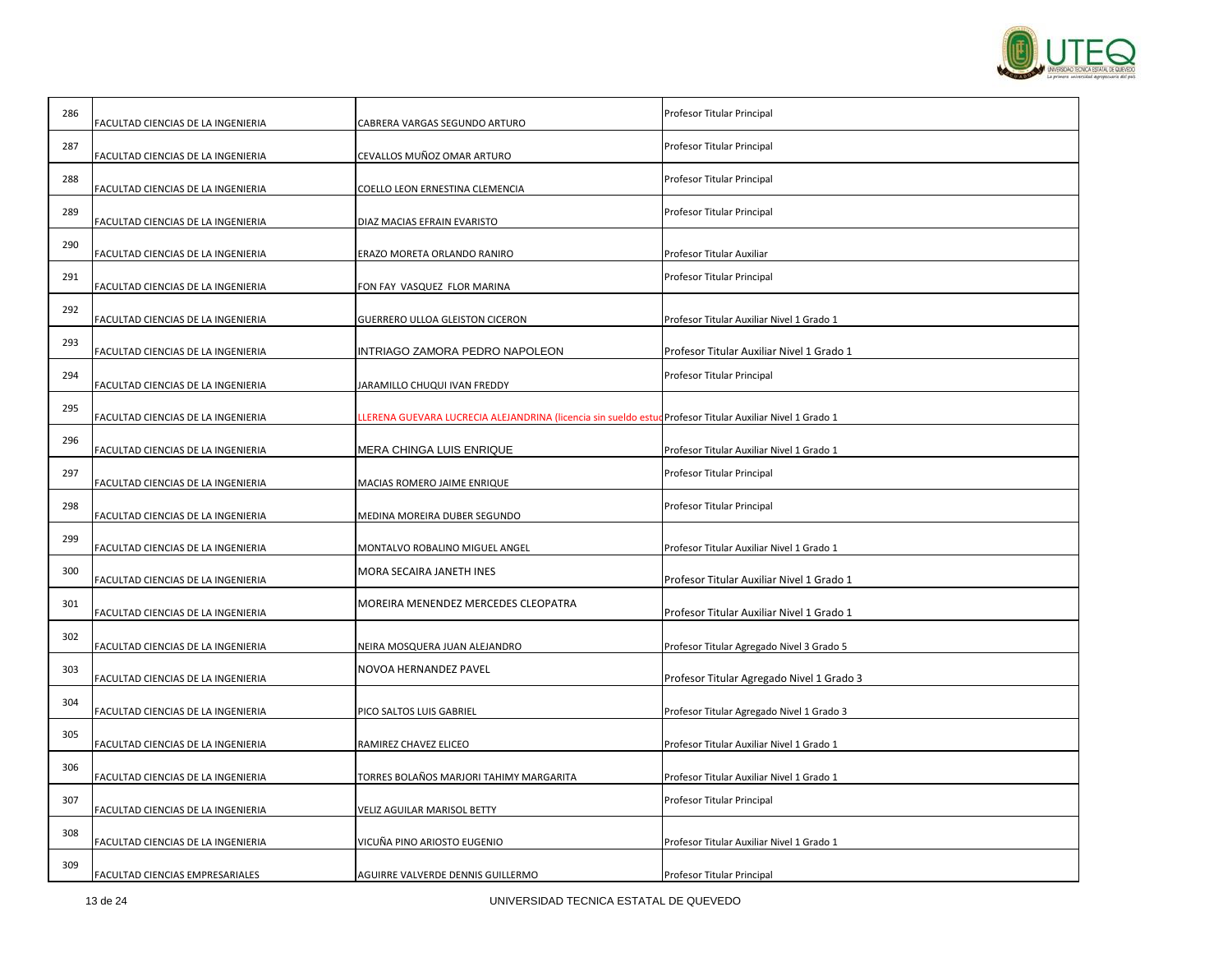

| 286 | FACULTAD CIENCIAS DE LA INGENIERIA | CABRERA VARGAS SEGUNDO ARTURO                                                                             | Profesor Titular Principal                |
|-----|------------------------------------|-----------------------------------------------------------------------------------------------------------|-------------------------------------------|
| 287 | FACULTAD CIENCIAS DE LA INGENIERIA | CEVALLOS MUÑOZ OMAR ARTURO                                                                                | Profesor Titular Principal                |
| 288 | FACULTAD CIENCIAS DE LA INGENIERIA | COELLO LEON ERNESTINA CLEMENCIA                                                                           | Profesor Titular Principal                |
| 289 | FACULTAD CIENCIAS DE LA INGENIERIA | DIAZ MACIAS EFRAIN EVARISTO                                                                               | Profesor Titular Principal                |
| 290 | FACULTAD CIENCIAS DE LA INGENIERIA | ERAZO MORETA ORLANDO RANIRO                                                                               | Profesor Titular Auxiliar                 |
| 291 | FACULTAD CIENCIAS DE LA INGENIERIA | FON FAY VASQUEZ FLOR MARINA                                                                               | Profesor Titular Principal                |
| 292 | FACULTAD CIENCIAS DE LA INGENIERIA | GUERRERO ULLOA GLEISTON CICERON                                                                           | Profesor Titular Auxiliar Nivel 1 Grado 1 |
| 293 | FACULTAD CIENCIAS DE LA INGENIERIA | INTRIAGO ZAMORA PEDRO NAPOLEON                                                                            | Profesor Titular Auxiliar Nivel 1 Grado 1 |
| 294 | FACULTAD CIENCIAS DE LA INGENIERIA | JARAMILLO CHUQUI IVAN FREDDY                                                                              | Profesor Titular Principal                |
| 295 | FACULTAD CIENCIAS DE LA INGENIERIA | LLERENA GUEVARA LUCRECIA ALEJANDRINA (licencia sin sueldo estud Profesor Titular Auxiliar Nivel 1 Grado 1 |                                           |
| 296 | FACULTAD CIENCIAS DE LA INGENIERIA | MERA CHINGA LUIS ENRIQUE                                                                                  | Profesor Titular Auxiliar Nivel 1 Grado 1 |
| 297 | FACULTAD CIENCIAS DE LA INGENIERIA | MACIAS ROMERO JAIME ENRIQUE                                                                               | Profesor Titular Principal                |
| 298 | FACULTAD CIENCIAS DE LA INGENIERIA | MEDINA MOREIRA DUBER SEGUNDO                                                                              | Profesor Titular Principal                |
| 299 | FACULTAD CIENCIAS DE LA INGENIERIA | MONTALVO ROBALINO MIGUEL ANGEL                                                                            | Profesor Titular Auxiliar Nivel 1 Grado 1 |
| 300 | FACULTAD CIENCIAS DE LA INGENIERIA | MORA SECAIRA JANETH INES                                                                                  | Profesor Titular Auxiliar Nivel 1 Grado 1 |
| 301 | FACULTAD CIENCIAS DE LA INGENIERIA | MOREIRA MENENDEZ MERCEDES CLEOPATRA                                                                       | Profesor Titular Auxiliar Nivel 1 Grado 1 |
| 302 | FACULTAD CIENCIAS DE LA INGENIERIA | NEIRA MOSQUERA JUAN ALEJANDRO                                                                             | Profesor Titular Agregado Nivel 3 Grado 5 |
| 303 | FACULTAD CIENCIAS DE LA INGENIERIA | NOVOA HERNANDEZ PAVEL                                                                                     | Profesor Titular Agregado Nivel 1 Grado 3 |
| 304 | FACULTAD CIENCIAS DE LA INGENIERIA | PICO SALTOS LUIS GABRIEL                                                                                  | Profesor Titular Agregado Nivel 1 Grado 3 |
| 305 | FACULTAD CIENCIAS DE LA INGENIERIA | RAMIREZ CHAVEZ ELICEO                                                                                     | Profesor Titular Auxiliar Nivel 1 Grado 1 |
| 306 | FACULTAD CIENCIAS DE LA INGENIERIA | TORRES BOLAÑOS MARJORI TAHIMY MARGARITA                                                                   | Profesor Titular Auxiliar Nivel 1 Grado 1 |
| 307 | FACULTAD CIENCIAS DE LA INGENIERIA | VELIZ AGUILAR MARISOL BETTY                                                                               | Profesor Titular Principal                |
| 308 | FACULTAD CIENCIAS DE LA INGENIERIA | VICUÑA PINO ARIOSTO EUGENIO                                                                               | Profesor Titular Auxiliar Nivel 1 Grado 1 |
| 309 | FACULTAD CIENCIAS EMPRESARIALES    | AGUIRRE VALVERDE DENNIS GUILLERMO                                                                         | Profesor Titular Principal                |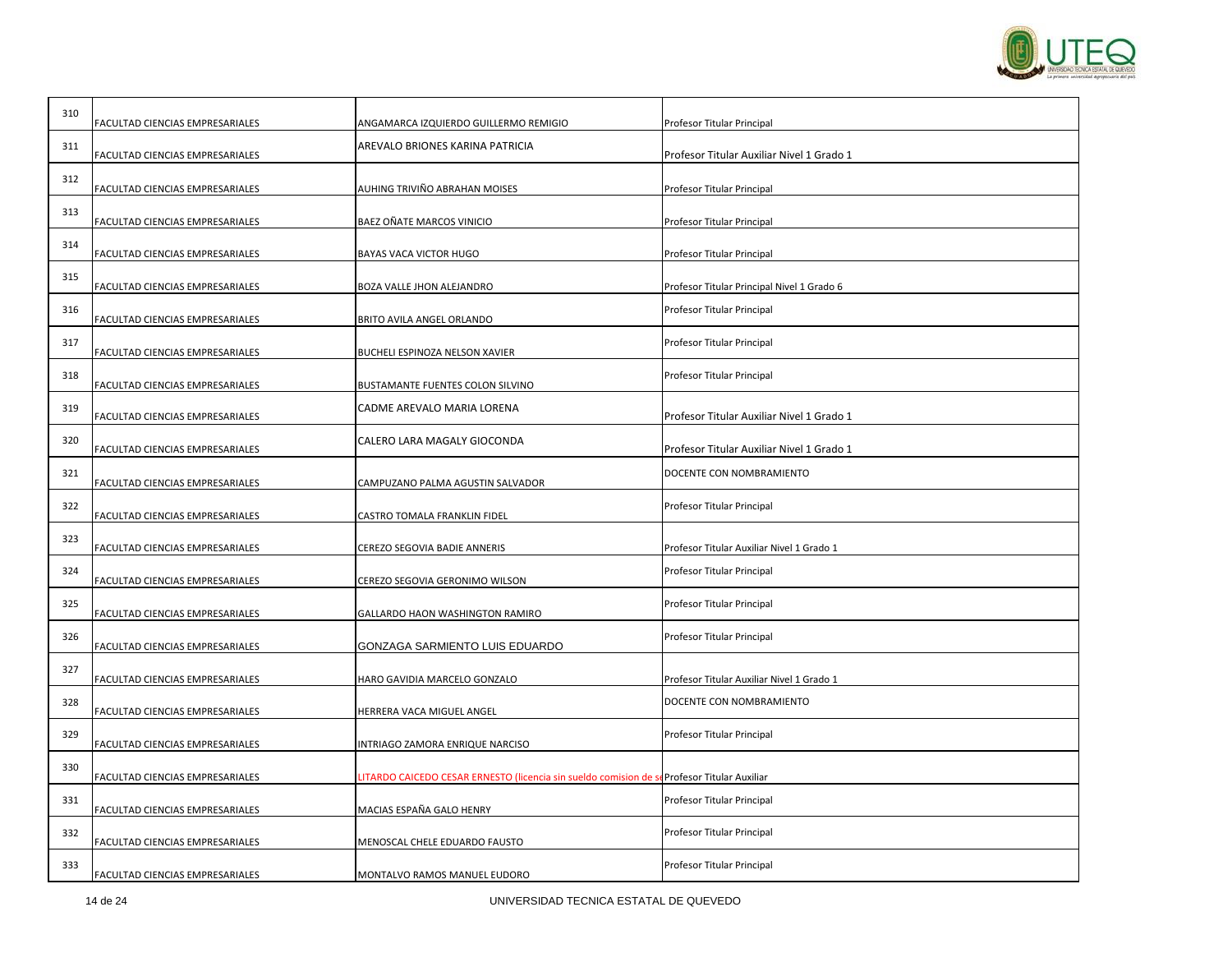

| 310 | FACULTAD CIENCIAS EMPRESARIALES | ANGAMARCA IZQUIERDO GUILLERMO REMIGIO                            | Profesor Titular Principal                 |
|-----|---------------------------------|------------------------------------------------------------------|--------------------------------------------|
| 311 | FACULTAD CIENCIAS EMPRESARIALES | AREVALO BRIONES KARINA PATRICIA                                  | Profesor Titular Auxiliar Nivel 1 Grado 1  |
| 312 | FACULTAD CIENCIAS EMPRESARIALES | AUHING TRIVIÑO ABRAHAN MOISES                                    | Profesor Titular Principal                 |
| 313 | FACULTAD CIENCIAS EMPRESARIALES | BAEZ OÑATE MARCOS VINICIO                                        | Profesor Titular Principal                 |
| 314 | FACULTAD CIENCIAS EMPRESARIALES | BAYAS VACA VICTOR HUGO                                           | Profesor Titular Principal                 |
| 315 | FACULTAD CIENCIAS EMPRESARIALES | BOZA VALLE JHON ALEJANDRO                                        | Profesor Titular Principal Nivel 1 Grado 6 |
| 316 | FACULTAD CIENCIAS EMPRESARIALES | BRITO AVILA ANGEL ORLANDO                                        | Profesor Titular Principal                 |
| 317 | FACULTAD CIENCIAS EMPRESARIALES | BUCHELI ESPINOZA NELSON XAVIER                                   | Profesor Titular Principal                 |
| 318 | FACULTAD CIENCIAS EMPRESARIALES | BUSTAMANTE FUENTES COLON SILVINO                                 | Profesor Titular Principal                 |
| 319 | FACULTAD CIENCIAS EMPRESARIALES | CADME AREVALO MARIA LORENA                                       | Profesor Titular Auxiliar Nivel 1 Grado 1  |
| 320 | FACULTAD CIENCIAS EMPRESARIALES | CALERO LARA MAGALY GIOCONDA                                      | Profesor Titular Auxiliar Nivel 1 Grado 1  |
| 321 | FACULTAD CIENCIAS EMPRESARIALES | CAMPUZANO PALMA AGUSTIN SALVADOR                                 | DOCENTE CON NOMBRAMIENTO                   |
| 322 | FACULTAD CIENCIAS EMPRESARIALES | CASTRO TOMALA FRANKLIN FIDEL                                     | Profesor Titular Principal                 |
| 323 | FACULTAD CIENCIAS EMPRESARIALES | CEREZO SEGOVIA BADIE ANNERIS                                     | Profesor Titular Auxiliar Nivel 1 Grado 1  |
| 324 | FACULTAD CIENCIAS EMPRESARIALES | CEREZO SEGOVIA GERONIMO WILSON                                   | Profesor Titular Principal                 |
| 325 | FACULTAD CIENCIAS EMPRESARIALES | GALLARDO HAON WASHINGTON RAMIRO                                  | Profesor Titular Principal                 |
| 326 | FACULTAD CIENCIAS EMPRESARIALES | GONZAGA SARMIENTO LUIS EDUARDO                                   | Profesor Titular Principal                 |
| 327 | FACULTAD CIENCIAS EMPRESARIALES | HARO GAVIDIA MARCELO GONZALO                                     | Profesor Titular Auxiliar Nivel 1 Grado 1  |
| 328 | FACULTAD CIENCIAS EMPRESARIALES | HERRERA VACA MIGUEL ANGEL                                        | DOCENTE CON NOMBRAMIENTO                   |
| 329 | FACULTAD CIENCIAS EMPRESARIALES | INTRIAGO ZAMORA ENRIQUE NARCISO                                  | Profesor Titular Principal                 |
| 330 | FACULTAD CIENCIAS EMPRESARIALES | LITARDO CAICEDO CESAR ERNESTO (licencia sin sueldo comision de s | Profesor Titular Auxiliar                  |
| 331 | FACULTAD CIENCIAS EMPRESARIALES | MACIAS ESPAÑA GALO HENRY                                         | Profesor Titular Principal                 |
| 332 | FACULTAD CIENCIAS EMPRESARIALES | MENOSCAL CHELE EDUARDO FAUSTO                                    | Profesor Titular Principal                 |
| 333 | FACULTAD CIENCIAS EMPRESARIALES | MONTALVO RAMOS MANUEL EUDORO                                     | Profesor Titular Principal                 |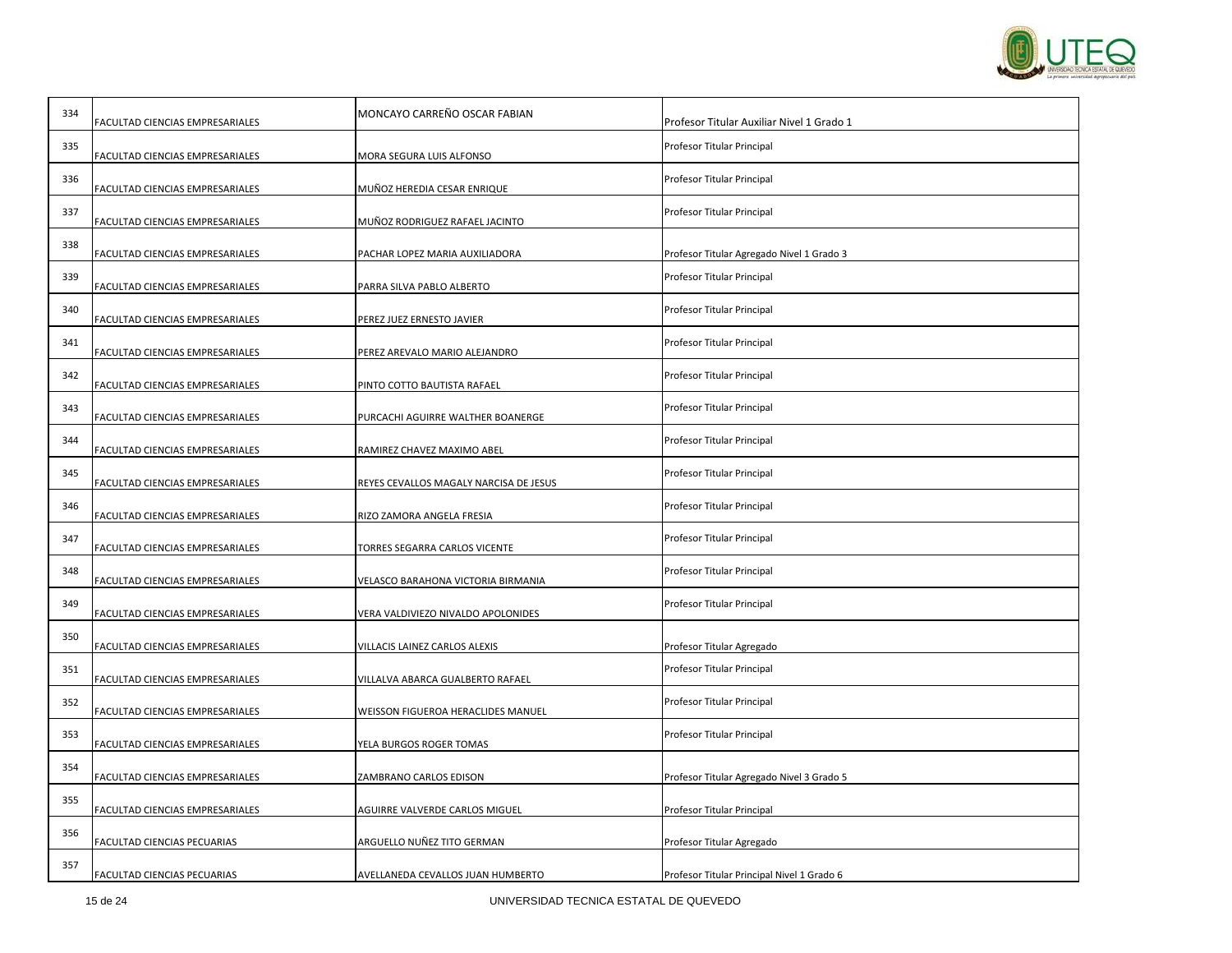

| 334 | FACULTAD CIENCIAS EMPRESARIALES | MONCAYO CARREÑO OSCAR FABIAN           | Profesor Titular Auxiliar Nivel 1 Grado 1  |
|-----|---------------------------------|----------------------------------------|--------------------------------------------|
| 335 | FACULTAD CIENCIAS EMPRESARIALES | MORA SEGURA LUIS ALFONSO               | Profesor Titular Principal                 |
| 336 | FACULTAD CIENCIAS EMPRESARIALES | MUÑOZ HEREDIA CESAR ENRIQUE            | Profesor Titular Principal                 |
| 337 | FACULTAD CIENCIAS EMPRESARIALES | MUÑOZ RODRIGUEZ RAFAEL JACINTO         | Profesor Titular Principal                 |
| 338 | FACULTAD CIENCIAS EMPRESARIALES | PACHAR LOPEZ MARIA AUXILIADORA         | Profesor Titular Agregado Nivel 1 Grado 3  |
| 339 | FACULTAD CIENCIAS EMPRESARIALES | PARRA SILVA PABLO ALBERTO              | Profesor Titular Principal                 |
| 340 | FACULTAD CIENCIAS EMPRESARIALES | PEREZ JUEZ ERNESTO JAVIER              | Profesor Titular Principal                 |
| 341 | FACULTAD CIENCIAS EMPRESARIALES | PEREZ AREVALO MARIO ALEJANDRO          | Profesor Titular Principal                 |
| 342 | FACULTAD CIENCIAS EMPRESARIALES | PINTO COTTO BAUTISTA RAFAEL            | Profesor Titular Principal                 |
| 343 | FACULTAD CIENCIAS EMPRESARIALES | PURCACHI AGUIRRE WALTHER BOANERGE      | Profesor Titular Principal                 |
| 344 | FACULTAD CIENCIAS EMPRESARIALES | RAMIREZ CHAVEZ MAXIMO ABEL             | Profesor Titular Principal                 |
| 345 | FACULTAD CIENCIAS EMPRESARIALES | REYES CEVALLOS MAGALY NARCISA DE JESUS | Profesor Titular Principal                 |
| 346 | FACULTAD CIENCIAS EMPRESARIALES | RIZO ZAMORA ANGELA FRESIA              | Profesor Titular Principal                 |
| 347 | FACULTAD CIENCIAS EMPRESARIALES | FORRES SEGARRA CARLOS VICENTE          | Profesor Titular Principal                 |
| 348 | FACULTAD CIENCIAS EMPRESARIALES | VELASCO BARAHONA VICTORIA BIRMANIA     | Profesor Titular Principal                 |
| 349 | FACULTAD CIENCIAS EMPRESARIALES | VERA VALDIVIEZO NIVALDO APOLONIDES     | Profesor Titular Principal                 |
| 350 | FACULTAD CIENCIAS EMPRESARIALES | VILLACIS LAINEZ CARLOS ALEXIS          | Profesor Titular Agregado                  |
| 351 | FACULTAD CIENCIAS EMPRESARIALES | VILLALVA ABARCA GUALBERTO RAFAEL       | Profesor Titular Principal                 |
| 352 | FACULTAD CIENCIAS EMPRESARIALES | WEISSON FIGUEROA HERACLIDES MANUEL     | Profesor Titular Principal                 |
| 353 | FACULTAD CIENCIAS EMPRESARIALES | YELA BURGOS ROGER TOMAS                | Profesor Titular Principal                 |
| 354 | FACULTAD CIENCIAS EMPRESARIALES | ZAMBRANO CARLOS EDISON                 | Profesor Titular Agregado Nivel 3 Grado 5  |
| 355 | FACULTAD CIENCIAS EMPRESARIALES | AGUIRRE VALVERDE CARLOS MIGUEL         | Profesor Titular Principal                 |
| 356 | FACULTAD CIENCIAS PECUARIAS     | ARGUELLO NUÑEZ TITO GERMAN             | Profesor Titular Agregado                  |
| 357 | FACULTAD CIENCIAS PECUARIAS     | AVELLANEDA CEVALLOS JUAN HUMBERTO      | Profesor Titular Principal Nivel 1 Grado 6 |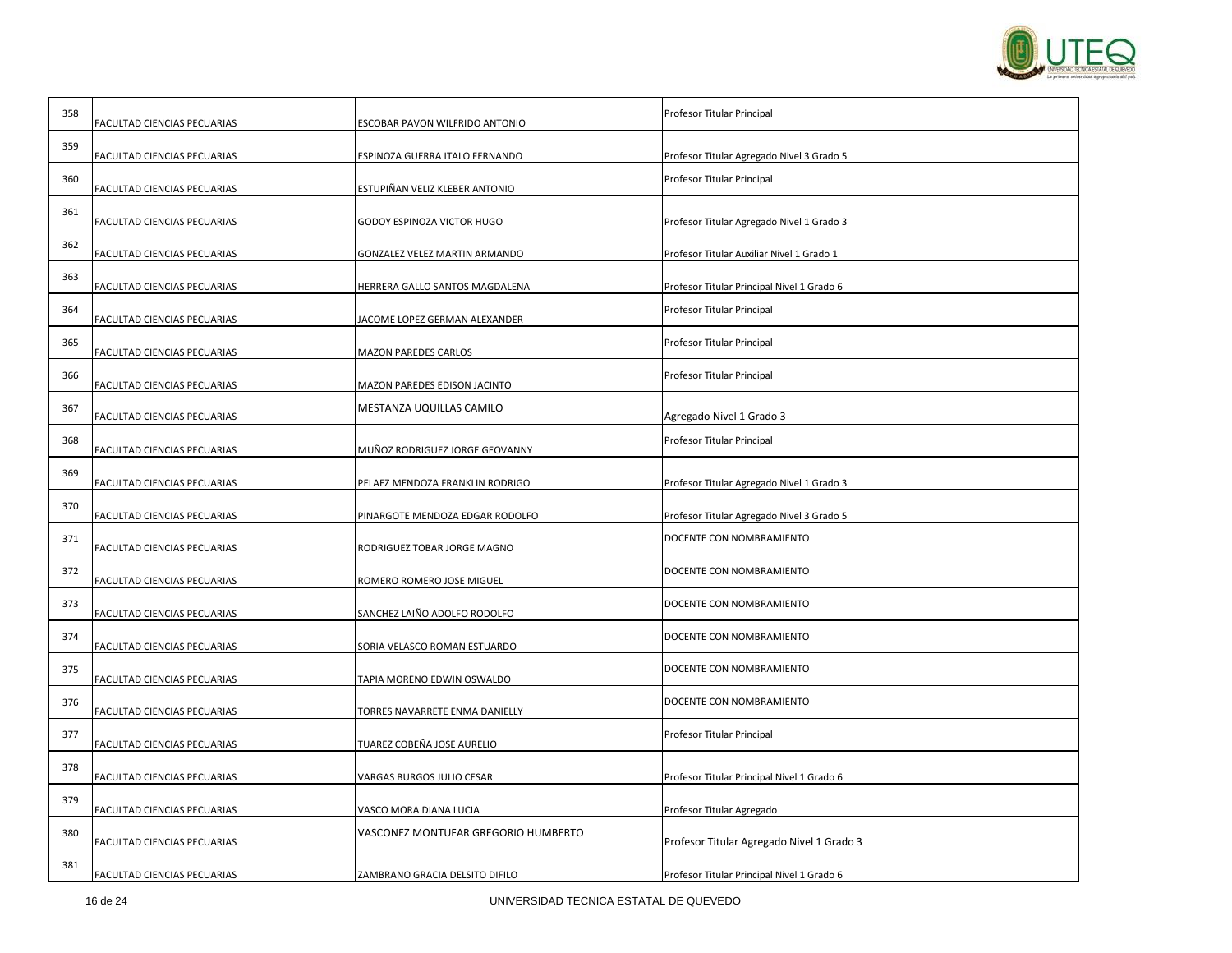

| 358 | FACULTAD CIENCIAS PECUARIAS | ESCOBAR PAVON WILFRIDO ANTONIO      | Profesor Titular Principal                 |
|-----|-----------------------------|-------------------------------------|--------------------------------------------|
| 359 | FACULTAD CIENCIAS PECUARIAS | ESPINOZA GUERRA ITALO FERNANDO      | Profesor Titular Agregado Nivel 3 Grado 5  |
| 360 | FACULTAD CIENCIAS PECUARIAS | ESTUPIÑAN VELIZ KLEBER ANTONIO      | Profesor Titular Principal                 |
| 361 | FACULTAD CIENCIAS PECUARIAS | GODOY ESPINOZA VICTOR HUGO          | Profesor Titular Agregado Nivel 1 Grado 3  |
| 362 | FACULTAD CIENCIAS PECUARIAS | GONZALEZ VELEZ MARTIN ARMANDO       | Profesor Titular Auxiliar Nivel 1 Grado 1  |
| 363 | FACULTAD CIENCIAS PECUARIAS | HERRERA GALLO SANTOS MAGDALENA      | Profesor Titular Principal Nivel 1 Grado 6 |
| 364 | FACULTAD CIENCIAS PECUARIAS | JACOME LOPEZ GERMAN ALEXANDER       | Profesor Titular Principal                 |
| 365 | FACULTAD CIENCIAS PECUARIAS | <b>MAZON PAREDES CARLOS</b>         | Profesor Titular Principal                 |
| 366 | FACULTAD CIENCIAS PECUARIAS | MAZON PAREDES EDISON JACINTO        | Profesor Titular Principal                 |
| 367 | FACULTAD CIENCIAS PECUARIAS | MESTANZA UQUILLAS CAMILO            | Agregado Nivel 1 Grado 3                   |
| 368 | FACULTAD CIENCIAS PECUARIAS | MUÑOZ RODRIGUEZ JORGE GEOVANNY      | Profesor Titular Principal                 |
| 369 | FACULTAD CIENCIAS PECUARIAS | PELAEZ MENDOZA FRANKLIN RODRIGO     | Profesor Titular Agregado Nivel 1 Grado 3  |
| 370 | FACULTAD CIENCIAS PECUARIAS | PINARGOTE MENDOZA EDGAR RODOLFO     | Profesor Titular Agregado Nivel 3 Grado 5  |
| 371 | FACULTAD CIENCIAS PECUARIAS | RODRIGUEZ TOBAR JORGE MAGNO         | DOCENTE CON NOMBRAMIENTO                   |
| 372 | FACULTAD CIENCIAS PECUARIAS | ROMERO ROMERO JOSE MIGUEL           | DOCENTE CON NOMBRAMIENTO                   |
| 373 | FACULTAD CIENCIAS PECUARIAS | SANCHEZ LAIÑO ADOLFO RODOLFO        | DOCENTE CON NOMBRAMIENTO                   |
| 374 | FACULTAD CIENCIAS PECUARIAS | SORIA VELASCO ROMAN ESTUARDO        | DOCENTE CON NOMBRAMIENTO                   |
| 375 | FACULTAD CIENCIAS PECUARIAS | TAPIA MORENO EDWIN OSWALDO          | DOCENTE CON NOMBRAMIENTO                   |
| 376 | FACULTAD CIENCIAS PECUARIAS | TORRES NAVARRETE ENMA DANIELLY      | DOCENTE CON NOMBRAMIENTO                   |
| 377 | FACULTAD CIENCIAS PECUARIAS | TUAREZ COBEÑA JOSE AURELIO          | Profesor Titular Principal                 |
| 378 | FACULTAD CIENCIAS PECUARIAS | VARGAS BURGOS JULIO CESAR           | Profesor Titular Principal Nivel 1 Grado 6 |
| 379 | FACULTAD CIENCIAS PECUARIAS | VASCO MORA DIANA LUCIA              | Profesor Titular Agregado                  |
| 380 | FACULTAD CIENCIAS PECUARIAS | VASCONEZ MONTUFAR GREGORIO HUMBERTO | Profesor Titular Agregado Nivel 1 Grado 3  |
| 381 | FACULTAD CIENCIAS PECUARIAS | ZAMBRANO GRACIA DELSITO DIFILO      | Profesor Titular Principal Nivel 1 Grado 6 |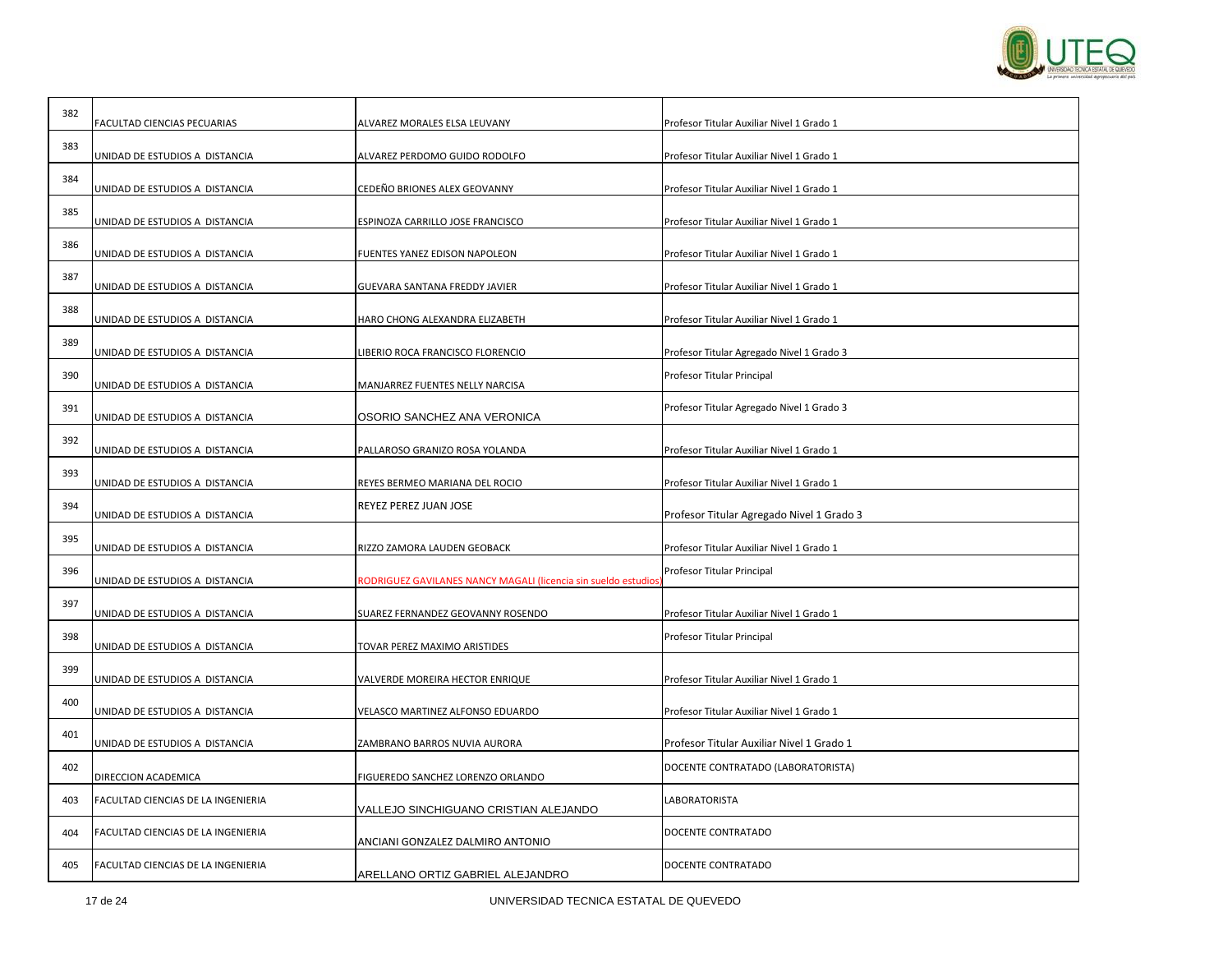

| 382 | FACULTAD CIENCIAS PECUARIAS        | ALVAREZ MORALES ELSA LEUVANY                                         | Profesor Titular Auxiliar Nivel 1 Grado 1 |
|-----|------------------------------------|----------------------------------------------------------------------|-------------------------------------------|
| 383 | UNIDAD DE ESTUDIOS A DISTANCIA     | ALVAREZ PERDOMO GUIDO RODOLFO                                        | Profesor Titular Auxiliar Nivel 1 Grado 1 |
| 384 | UNIDAD DE ESTUDIOS A DISTANCIA     | CEDEÑO BRIONES ALEX GEOVANNY                                         | Profesor Titular Auxiliar Nivel 1 Grado 1 |
| 385 |                                    |                                                                      |                                           |
| 386 | UNIDAD DE ESTUDIOS A DISTANCIA     | ESPINOZA CARRILLO JOSE FRANCISCO                                     | Profesor Titular Auxiliar Nivel 1 Grado 1 |
| 387 | UNIDAD DE ESTUDIOS A DISTANCIA     | FUENTES YANEZ EDISON NAPOLEON                                        | Profesor Titular Auxiliar Nivel 1 Grado 1 |
| 388 | UNIDAD DE ESTUDIOS A DISTANCIA     | GUEVARA SANTANA FREDDY JAVIER                                        | Profesor Titular Auxiliar Nivel 1 Grado 1 |
|     | UNIDAD DE ESTUDIOS A DISTANCIA     | HARO CHONG ALEXANDRA ELIZABETH                                       | Profesor Titular Auxiliar Nivel 1 Grado 1 |
| 389 | UNIDAD DE ESTUDIOS A DISTANCIA     | IBERIO ROCA FRANCISCO FLORENCIO                                      | Profesor Titular Agregado Nivel 1 Grado 3 |
| 390 | UNIDAD DE ESTUDIOS A DISTANCIA     | MANJARREZ FUENTES NELLY NARCISA                                      | Profesor Titular Principal                |
| 391 | UNIDAD DE ESTUDIOS A DISTANCIA     | OSORIO SANCHEZ ANA VERONICA                                          | Profesor Titular Agregado Nivel 1 Grado 3 |
| 392 | UNIDAD DE ESTUDIOS A DISTANCIA     | PALLAROSO GRANIZO ROSA YOLANDA                                       | Profesor Titular Auxiliar Nivel 1 Grado 1 |
| 393 |                                    |                                                                      |                                           |
| 394 | UNIDAD DE ESTUDIOS A DISTANCIA     | REYES BERMEO MARIANA DEL ROCIO<br>REYEZ PEREZ JUAN JOSE              | Profesor Titular Auxiliar Nivel 1 Grado 1 |
|     | UNIDAD DE ESTUDIOS A DISTANCIA     |                                                                      | Profesor Titular Agregado Nivel 1 Grado 3 |
| 395 | UNIDAD DE ESTUDIOS A DISTANCIA     | RIZZO ZAMORA LAUDEN GEOBACK                                          | Profesor Titular Auxiliar Nivel 1 Grado 1 |
| 396 | UNIDAD DE ESTUDIOS A DISTANCIA     | <b>ODRIGUEZ GAVILANES NANCY MAGALI (licencia sin sueldo estudio:</b> | Profesor Titular Principal                |
| 397 | UNIDAD DE ESTUDIOS A DISTANCIA     | SUAREZ FERNANDEZ GEOVANNY ROSENDO                                    | Profesor Titular Auxiliar Nivel 1 Grado 1 |
| 398 | UNIDAD DE ESTUDIOS A DISTANCIA     | TOVAR PEREZ MAXIMO ARISTIDES                                         | Profesor Titular Principal                |
| 399 | UNIDAD DE ESTUDIOS A DISTANCIA     | VALVERDE MOREIRA HECTOR ENRIQUE                                      | Profesor Titular Auxiliar Nivel 1 Grado 1 |
| 400 |                                    |                                                                      |                                           |
|     | UNIDAD DE ESTUDIOS A DISTANCIA     | VELASCO MARTINEZ ALFONSO EDUARDO                                     | Profesor Titular Auxiliar Nivel 1 Grado 1 |
| 401 | UNIDAD DE ESTUDIOS A DISTANCIA     | ZAMBRANO BARROS NUVIA AURORA                                         | Profesor Titular Auxiliar Nivel 1 Grado 1 |
| 402 | DIRECCION ACADEMICA                | FIGUEREDO SANCHEZ LORENZO ORLANDO                                    | DOCENTE CONTRATADO (LABORATORISTA)        |
| 403 | FACULTAD CIENCIAS DE LA INGENIERIA | VALLEJO SINCHIGUANO CRISTIAN ALEJANDO                                | LABORATORISTA                             |
| 404 | FACULTAD CIENCIAS DE LA INGENIERIA | ANCIANI GONZALEZ DALMIRO ANTONIO                                     | DOCENTE CONTRATADO                        |
| 405 | FACULTAD CIENCIAS DE LA INGENIERIA | ARELLANO ORTIZ GABRIEL ALEJANDRO                                     | DOCENTE CONTRATADO                        |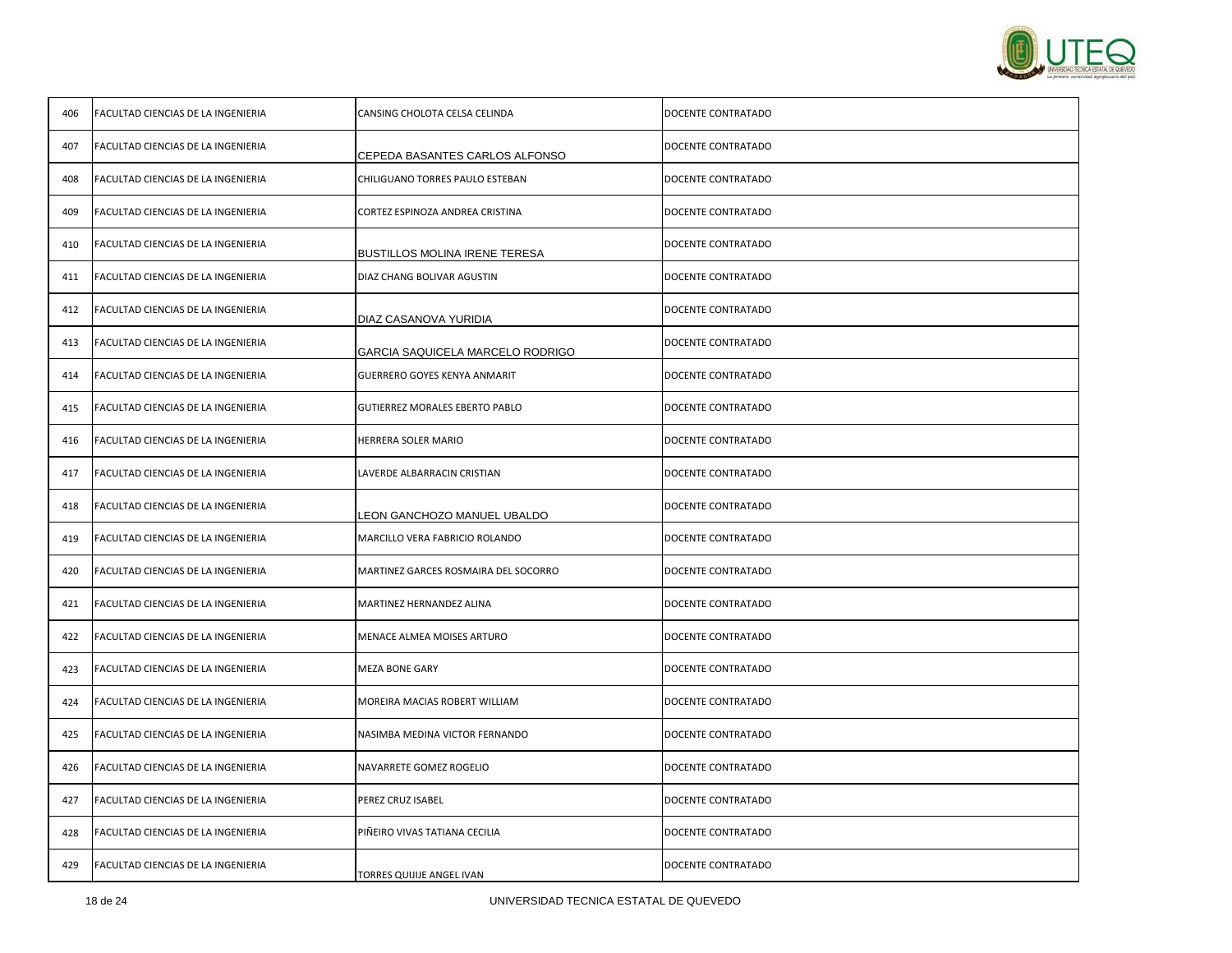

| 406 | FACULTAD CIENCIAS DE LA INGENIERIA | CANSING CHOLOTA CELSA CELINDA         | DOCENTE CONTRATADO |
|-----|------------------------------------|---------------------------------------|--------------------|
| 407 | FACULTAD CIENCIAS DE LA INGENIERIA | CEPEDA BASANTES CARLOS ALFONSO        | DOCENTE CONTRATADO |
| 408 | FACULTAD CIENCIAS DE LA INGENIERIA | CHILIGUANO TORRES PAULO ESTEBAN       | DOCENTE CONTRATADO |
| 409 | FACULTAD CIENCIAS DE LA INGENIERIA | CORTEZ ESPINOZA ANDREA CRISTINA       | DOCENTE CONTRATADO |
| 410 | FACULTAD CIENCIAS DE LA INGENIERIA | BUSTILLOS MOLINA IRENE TERESA         | DOCENTE CONTRATADO |
| 411 | FACULTAD CIENCIAS DE LA INGENIERIA | DIAZ CHANG BOLIVAR AGUSTIN            | DOCENTE CONTRATADO |
| 412 | FACULTAD CIENCIAS DE LA INGENIERIA | DIAZ CASANOVA YURIDIA                 | DOCENTE CONTRATADO |
| 413 | FACULTAD CIENCIAS DE LA INGENIERIA | GARCIA SAQUICELA MARCELO RODRIGO      | DOCENTE CONTRATADO |
| 414 | FACULTAD CIENCIAS DE LA INGENIERIA | GUERRERO GOYES KENYA ANMARIT          | DOCENTE CONTRATADO |
| 415 | FACULTAD CIENCIAS DE LA INGENIERIA | <b>GUTIERREZ MORALES EBERTO PABLO</b> | DOCENTE CONTRATADO |
| 416 | FACULTAD CIENCIAS DE LA INGENIERIA | HERRERA SOLER MARIO                   | DOCENTE CONTRATADO |
| 417 | FACULTAD CIENCIAS DE LA INGENIERIA | LAVERDE ALBARRACIN CRISTIAN           | DOCENTE CONTRATADO |
| 418 | FACULTAD CIENCIAS DE LA INGENIERIA | EON GANCHOZO MANUEL UBALDO            | DOCENTE CONTRATADO |
| 419 | FACULTAD CIENCIAS DE LA INGENIERIA | MARCILLO VERA FABRICIO ROLANDO        | DOCENTE CONTRATADO |
| 420 | FACULTAD CIENCIAS DE LA INGENIERIA | MARTINEZ GARCES ROSMAIRA DEL SOCORRO  | DOCENTE CONTRATADO |
| 421 | FACULTAD CIENCIAS DE LA INGENIERIA | MARTINEZ HERNANDEZ ALINA              | DOCENTE CONTRATADO |
| 422 | FACULTAD CIENCIAS DE LA INGENIERIA | MENACE ALMEA MOISES ARTURO            | DOCENTE CONTRATADO |
| 423 | FACULTAD CIENCIAS DE LA INGENIERIA | MEZA BONE GARY                        | DOCENTE CONTRATADO |
| 424 | FACULTAD CIENCIAS DE LA INGENIERIA | MOREIRA MACIAS ROBERT WILLIAM         | DOCENTE CONTRATADO |
| 425 | FACULTAD CIENCIAS DE LA INGENIERIA | NASIMBA MEDINA VICTOR FERNANDO        | DOCENTE CONTRATADO |
| 426 | FACULTAD CIENCIAS DE LA INGENIERIA | NAVARRETE GOMEZ ROGELIO               | DOCENTE CONTRATADO |
| 427 | FACULTAD CIENCIAS DE LA INGENIERIA | PEREZ CRUZ ISABEL                     | DOCENTE CONTRATADO |
| 428 | FACULTAD CIENCIAS DE LA INGENIERIA | PIÑEIRO VIVAS TATIANA CECILIA         | DOCENTE CONTRATADO |
| 429 | FACULTAD CIENCIAS DE LA INGENIERIA | TORRES QUIJIJE ANGEL IVAN             | DOCENTE CONTRATADO |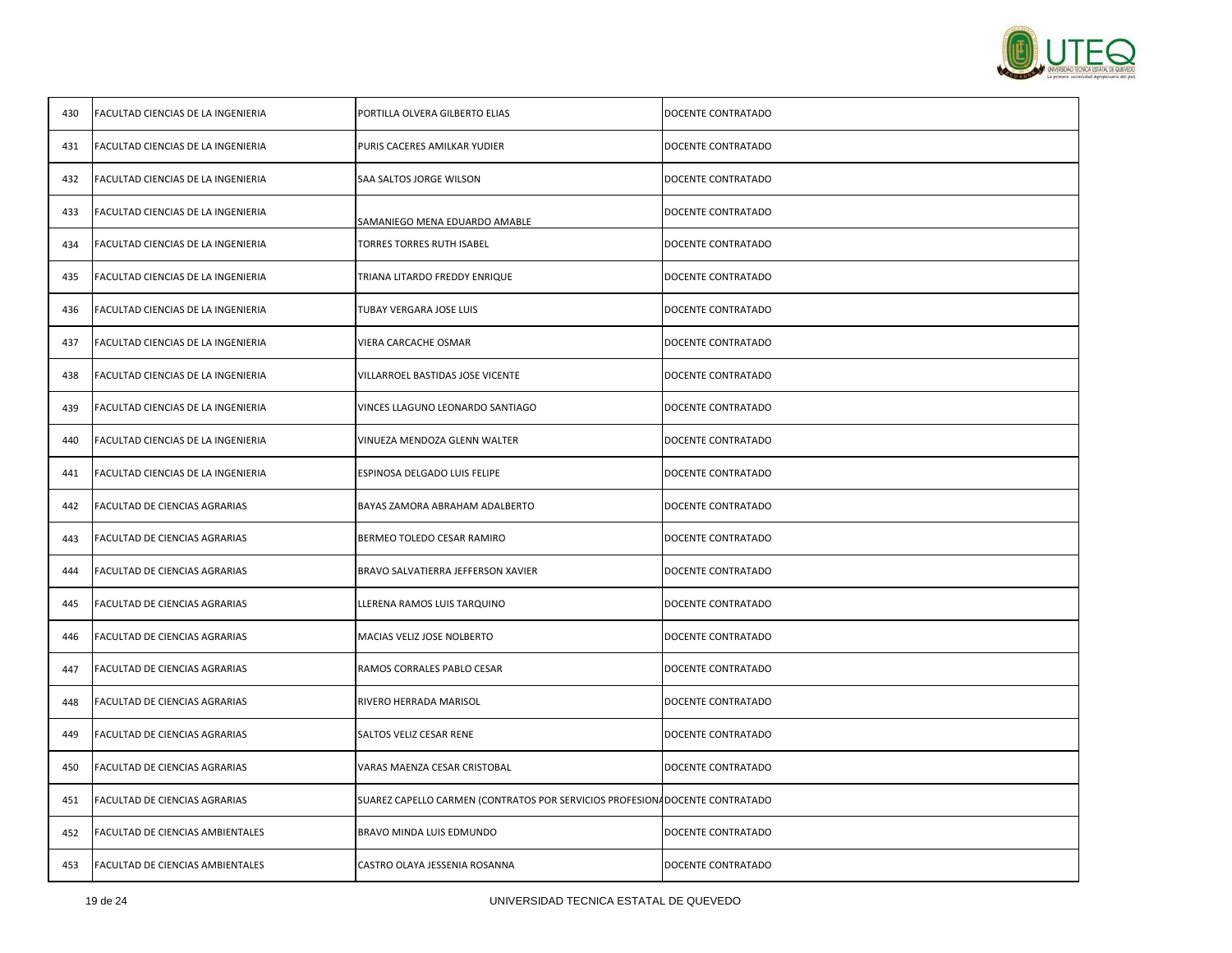

| 430 | FACULTAD CIENCIAS DE LA INGENIERIA | PORTILLA OLVERA GILBERTO ELIAS                                               | DOCENTE CONTRATADO |
|-----|------------------------------------|------------------------------------------------------------------------------|--------------------|
| 431 | FACULTAD CIENCIAS DE LA INGENIERIA | PURIS CACERES AMILKAR YUDIER                                                 | DOCENTE CONTRATADO |
| 432 | FACULTAD CIENCIAS DE LA INGENIERIA | SAA SALTOS JORGE WILSON                                                      | DOCENTE CONTRATADO |
| 433 | FACULTAD CIENCIAS DE LA INGENIERIA | SAMANIEGO MENA EDUARDO AMABLE                                                | DOCENTE CONTRATADO |
| 434 | FACULTAD CIENCIAS DE LA INGENIERIA | TORRES TORRES RUTH ISABEL                                                    | DOCENTE CONTRATADO |
| 435 | FACULTAD CIENCIAS DE LA INGENIERIA | TRIANA LITARDO FREDDY ENRIQUE                                                | DOCENTE CONTRATADO |
| 436 | FACULTAD CIENCIAS DE LA INGENIERIA | TUBAY VERGARA JOSE LUIS                                                      | DOCENTE CONTRATADO |
| 437 | FACULTAD CIENCIAS DE LA INGENIERIA | VIERA CARCACHE OSMAR                                                         | DOCENTE CONTRATADO |
| 438 | FACULTAD CIENCIAS DE LA INGENIERIA | VILLARROEL BASTIDAS JOSE VICENTE                                             | DOCENTE CONTRATADO |
| 439 | FACULTAD CIENCIAS DE LA INGENIERIA | VINCES LLAGUNO LEONARDO SANTIAGO                                             | DOCENTE CONTRATADO |
| 440 | FACULTAD CIENCIAS DE LA INGENIERIA | VINUEZA MENDOZA GLENN WALTER                                                 | DOCENTE CONTRATADO |
| 441 | FACULTAD CIENCIAS DE LA INGENIERIA | ESPINOSA DELGADO LUIS FELIPE                                                 | DOCENTE CONTRATADO |
| 442 | FACULTAD DE CIENCIAS AGRARIAS      | BAYAS ZAMORA ABRAHAM ADALBERTO                                               | DOCENTE CONTRATADO |
| 443 | FACULTAD DE CIENCIAS AGRARIAS      | BERMEO TOLEDO CESAR RAMIRO                                                   | DOCENTE CONTRATADO |
| 444 | FACULTAD DE CIENCIAS AGRARIAS      | BRAVO SALVATIERRA JEFFERSON XAVIER                                           | DOCENTE CONTRATADO |
| 445 | FACULTAD DE CIENCIAS AGRARIAS      | LLERENA RAMOS LUIS TARQUINO                                                  | DOCENTE CONTRATADO |
| 446 | FACULTAD DE CIENCIAS AGRARIAS      | MACIAS VELIZ JOSE NOLBERTO                                                   | DOCENTE CONTRATADO |
| 447 | FACULTAD DE CIENCIAS AGRARIAS      | RAMOS CORRALES PABLO CESAR                                                   | DOCENTE CONTRATADO |
| 448 | FACULTAD DE CIENCIAS AGRARIAS      | RIVERO HERRADA MARISOL                                                       | DOCENTE CONTRATADO |
| 449 | FACULTAD DE CIENCIAS AGRARIAS      | SALTOS VELIZ CESAR RENE                                                      | DOCENTE CONTRATADO |
| 450 | FACULTAD DE CIENCIAS AGRARIAS      | VARAS MAENZA CESAR CRISTOBAL                                                 | DOCENTE CONTRATADO |
| 451 | FACULTAD DE CIENCIAS AGRARIAS      | SUAREZ CAPELLO CARMEN (CONTRATOS POR SERVICIOS PROFESIONA DOCENTE CONTRATADO |                    |
| 452 | FACULTAD DE CIENCIAS AMBIENTALES   | BRAVO MINDA LUIS EDMUNDO                                                     | DOCENTE CONTRATADO |
| 453 | FACULTAD DE CIENCIAS AMBIENTALES   | CASTRO OLAYA JESSENIA ROSANNA                                                | DOCENTE CONTRATADO |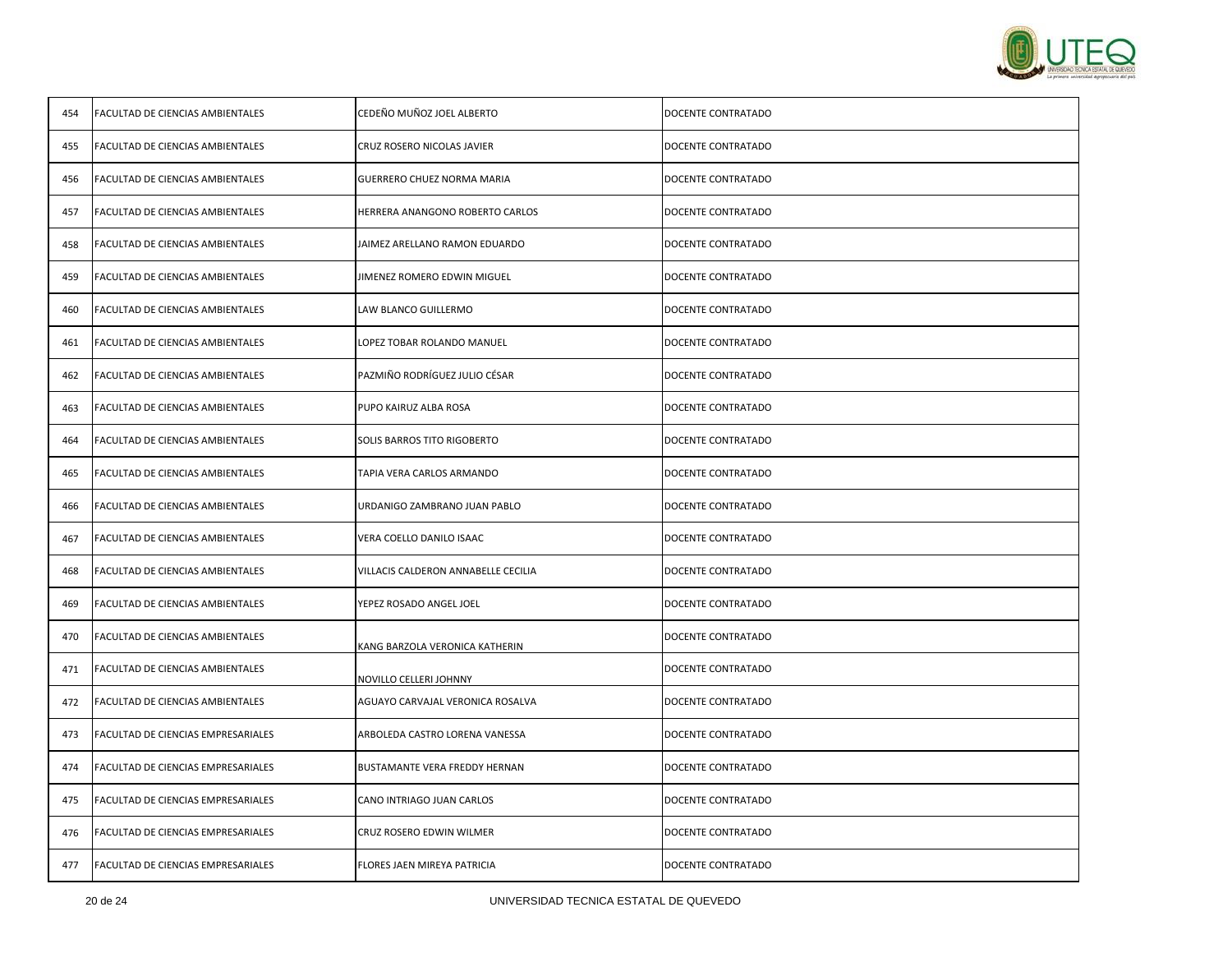

| 454 | FACULTAD DE CIENCIAS AMBIENTALES   | CEDEÑO MUÑOZ JOEL ALBERTO           | DOCENTE CONTRATADO |
|-----|------------------------------------|-------------------------------------|--------------------|
| 455 | FACULTAD DE CIENCIAS AMBIENTALES   | CRUZ ROSERO NICOLAS JAVIER          | DOCENTE CONTRATADO |
| 456 | FACULTAD DE CIENCIAS AMBIENTALES   | GUERRERO CHUEZ NORMA MARIA          | DOCENTE CONTRATADO |
| 457 | FACULTAD DE CIENCIAS AMBIENTALES   | HERRERA ANANGONO ROBERTO CARLOS     | DOCENTE CONTRATADO |
| 458 | FACULTAD DE CIENCIAS AMBIENTALES   | JAIMEZ ARELLANO RAMON EDUARDO       | DOCENTE CONTRATADO |
| 459 | FACULTAD DE CIENCIAS AMBIENTALES   | JIMENEZ ROMERO EDWIN MIGUEL         | DOCENTE CONTRATADO |
| 460 | FACULTAD DE CIENCIAS AMBIENTALES   | LAW BLANCO GUILLERMO                | DOCENTE CONTRATADO |
| 461 | FACULTAD DE CIENCIAS AMBIENTALES   | LOPEZ TOBAR ROLANDO MANUEL          | DOCENTE CONTRATADO |
| 462 | FACULTAD DE CIENCIAS AMBIENTALES   | PAZMIÑO RODRÍGUEZ JULIO CÉSAR       | DOCENTE CONTRATADO |
| 463 | FACULTAD DE CIENCIAS AMBIENTALES   | PUPO KAIRUZ ALBA ROSA               | DOCENTE CONTRATADO |
| 464 | FACULTAD DE CIENCIAS AMBIENTALES   | SOLIS BARROS TITO RIGOBERTO         | DOCENTE CONTRATADO |
| 465 | FACULTAD DE CIENCIAS AMBIENTALES   | TAPIA VERA CARLOS ARMANDO           | DOCENTE CONTRATADO |
| 466 | FACULTAD DE CIENCIAS AMBIENTALES   | URDANIGO ZAMBRANO JUAN PABLO        | DOCENTE CONTRATADO |
| 467 | FACULTAD DE CIENCIAS AMBIENTALES   | VERA COELLO DANILO ISAAC            | DOCENTE CONTRATADO |
| 468 | FACULTAD DE CIENCIAS AMBIENTALES   | VILLACIS CALDERON ANNABELLE CECILIA | DOCENTE CONTRATADO |
| 469 | FACULTAD DE CIENCIAS AMBIENTALES   | YEPEZ ROSADO ANGEL JOEL             | DOCENTE CONTRATADO |
| 470 | FACULTAD DE CIENCIAS AMBIENTALES   | KANG BARZOLA VERONICA KATHERIN      | DOCENTE CONTRATADO |
| 471 | FACULTAD DE CIENCIAS AMBIENTALES   | NOVILLO CELLERI JOHNNY              | DOCENTE CONTRATADO |
| 472 | FACULTAD DE CIENCIAS AMBIENTALES   | AGUAYO CARVAJAL VERONICA ROSALVA    | DOCENTE CONTRATADO |
| 473 | FACULTAD DE CIENCIAS EMPRESARIALES | ARBOLEDA CASTRO LORENA VANESSA      | DOCENTE CONTRATADO |
| 474 | FACULTAD DE CIENCIAS EMPRESARIALES | BUSTAMANTE VERA FREDDY HERNAN       | DOCENTE CONTRATADO |
| 475 | FACULTAD DE CIENCIAS EMPRESARIALES | CANO INTRIAGO JUAN CARLOS           | DOCENTE CONTRATADO |
| 476 | FACULTAD DE CIENCIAS EMPRESARIALES | CRUZ ROSERO EDWIN WILMER            | DOCENTE CONTRATADO |
| 477 | FACULTAD DE CIENCIAS EMPRESARIALES | FLORES JAEN MIREYA PATRICIA         | DOCENTE CONTRATADO |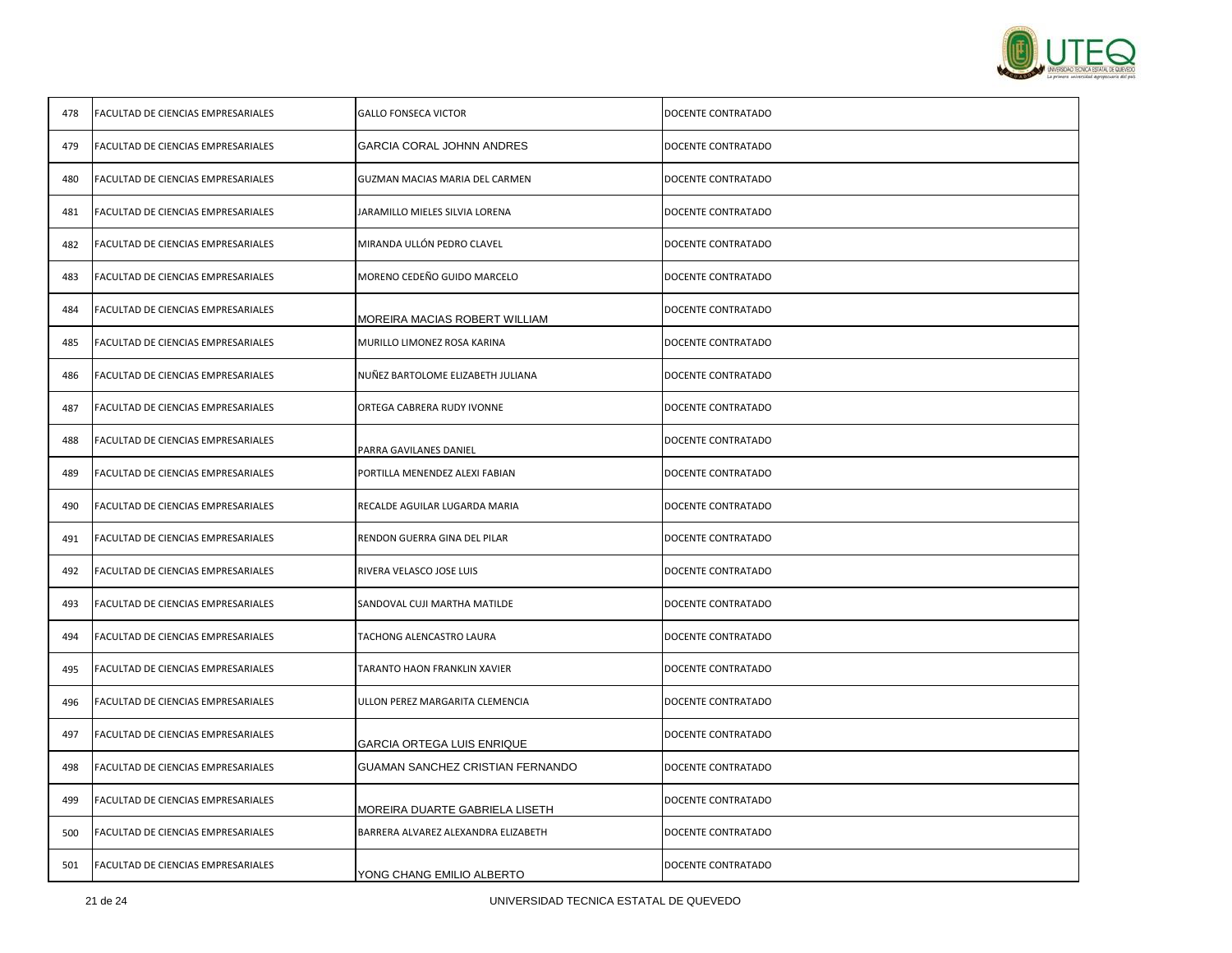

| 478 | FACULTAD DE CIENCIAS EMPRESARIALES | <b>GALLO FONSECA VICTOR</b>         | DOCENTE CONTRATADO |
|-----|------------------------------------|-------------------------------------|--------------------|
| 479 | FACULTAD DE CIENCIAS EMPRESARIALES | <b>GARCIA CORAL JOHNN ANDRES</b>    | DOCENTE CONTRATADO |
| 480 | FACULTAD DE CIENCIAS EMPRESARIALES | GUZMAN MACIAS MARIA DEL CARMEN      | DOCENTE CONTRATADO |
| 481 | FACULTAD DE CIENCIAS EMPRESARIALES | JARAMILLO MIELES SILVIA LORENA      | DOCENTE CONTRATADO |
| 482 | FACULTAD DE CIENCIAS EMPRESARIALES | MIRANDA ULLÓN PEDRO CLAVEL          | DOCENTE CONTRATADO |
| 483 | FACULTAD DE CIENCIAS EMPRESARIALES | MORENO CEDEÑO GUIDO MARCELO         | DOCENTE CONTRATADO |
| 484 | FACULTAD DE CIENCIAS EMPRESARIALES | MOREIRA MACIAS ROBERT WILLIAM       | DOCENTE CONTRATADO |
| 485 | FACULTAD DE CIENCIAS EMPRESARIALES | MURILLO LIMONEZ ROSA KARINA         | DOCENTE CONTRATADO |
| 486 | FACULTAD DE CIENCIAS EMPRESARIALES | NUÑEZ BARTOLOME ELIZABETH JULIANA   | DOCENTE CONTRATADO |
| 487 | FACULTAD DE CIENCIAS EMPRESARIALES | ORTEGA CABRERA RUDY IVONNE          | DOCENTE CONTRATADO |
| 488 | FACULTAD DE CIENCIAS EMPRESARIALES | PARRA GAVILANES DANIEL              | DOCENTE CONTRATADO |
| 489 | FACULTAD DE CIENCIAS EMPRESARIALES | PORTILLA MENENDEZ ALEXI FABIAN      | DOCENTE CONTRATADO |
| 490 | FACULTAD DE CIENCIAS EMPRESARIALES | RECALDE AGUILAR LUGARDA MARIA       | DOCENTE CONTRATADO |
| 491 | FACULTAD DE CIENCIAS EMPRESARIALES | RENDON GUERRA GINA DEL PILAR        | DOCENTE CONTRATADO |
| 492 | FACULTAD DE CIENCIAS EMPRESARIALES | RIVERA VELASCO JOSE LUIS            | DOCENTE CONTRATADO |
| 493 | FACULTAD DE CIENCIAS EMPRESARIALES | SANDOVAL CUJI MARTHA MATILDE        | DOCENTE CONTRATADO |
| 494 | FACULTAD DE CIENCIAS EMPRESARIALES | TACHONG ALENCASTRO LAURA            | DOCENTE CONTRATADO |
| 495 | FACULTAD DE CIENCIAS EMPRESARIALES | TARANTO HAON FRANKLIN XAVIER        | DOCENTE CONTRATADO |
| 496 | FACULTAD DE CIENCIAS EMPRESARIALES | ULLON PEREZ MARGARITA CLEMENCIA     | DOCENTE CONTRATADO |
| 497 | FACULTAD DE CIENCIAS EMPRESARIALES | GARCIA ORTEGA LUIS ENRIQUE          | DOCENTE CONTRATADO |
| 498 | FACULTAD DE CIENCIAS EMPRESARIALES | GUAMAN SANCHEZ CRISTIAN FERNANDO    | DOCENTE CONTRATADO |
| 499 | FACULTAD DE CIENCIAS EMPRESARIALES | MOREIRA DUARTE GABRIELA LISETH      | DOCENTE CONTRATADO |
| 500 | FACULTAD DE CIENCIAS EMPRESARIALES | BARRERA ALVAREZ ALEXANDRA ELIZABETH | DOCENTE CONTRATADO |
| 501 | FACULTAD DE CIENCIAS EMPRESARIALES | YONG CHANG EMILIO ALBERTO           | DOCENTE CONTRATADO |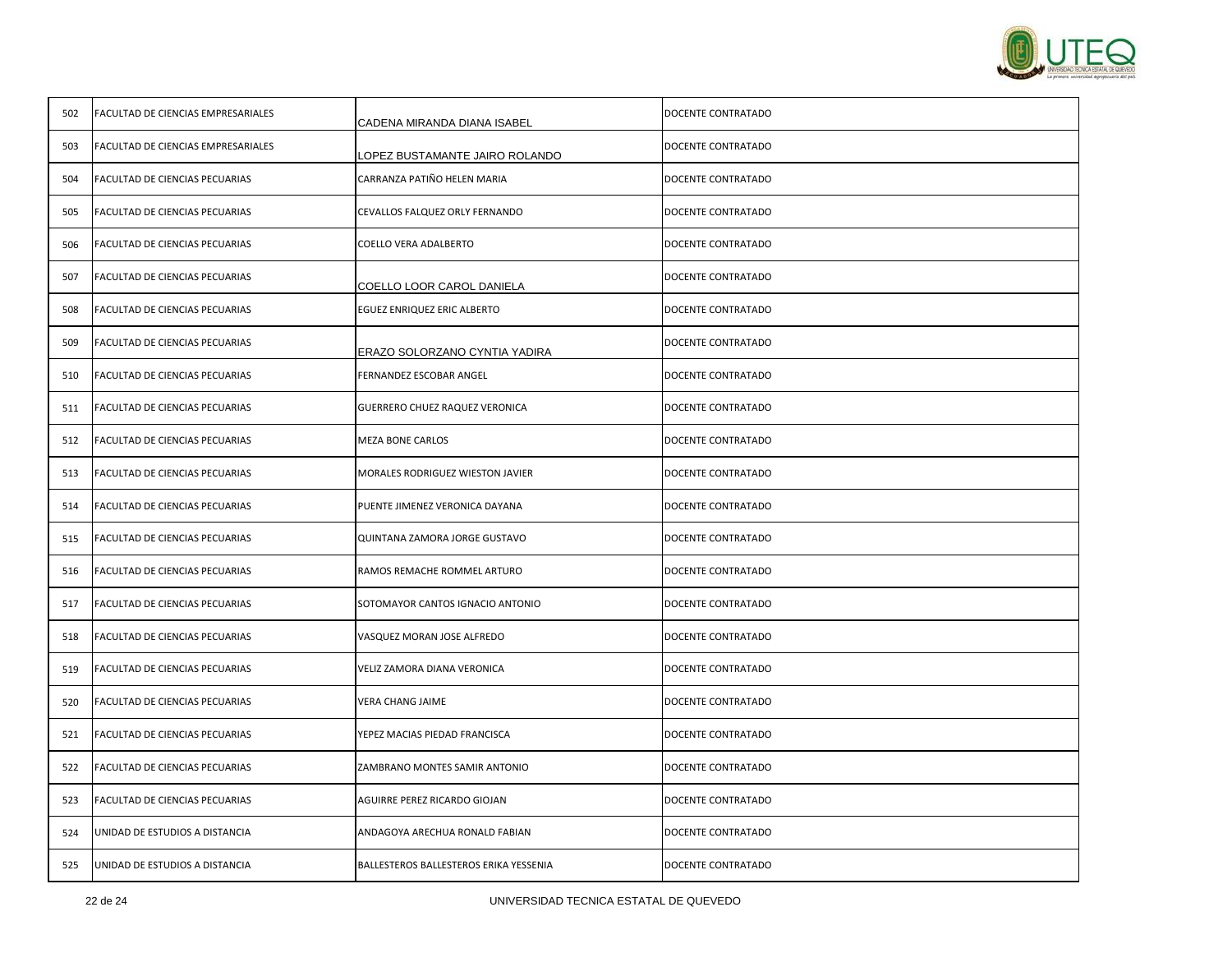

| 502 | FACULTAD DE CIENCIAS EMPRESARIALES | CADENA MIRANDA DIANA ISABEL            | DOCENTE CONTRATADO |
|-----|------------------------------------|----------------------------------------|--------------------|
| 503 | FACULTAD DE CIENCIAS EMPRESARIALES | LOPEZ BUSTAMANTE JAIRO ROLANDO         | DOCENTE CONTRATADO |
| 504 | FACULTAD DE CIENCIAS PECUARIAS     | CARRANZA PATIÑO HELEN MARIA            | DOCENTE CONTRATADO |
| 505 | FACULTAD DE CIENCIAS PECUARIAS     | CEVALLOS FALQUEZ ORLY FERNANDO         | DOCENTE CONTRATADO |
| 506 | FACULTAD DE CIENCIAS PECUARIAS     | COELLO VERA ADALBERTO                  | DOCENTE CONTRATADO |
| 507 | FACULTAD DE CIENCIAS PECUARIAS     | COELLO LOOR CAROL DANIELA              | DOCENTE CONTRATADO |
| 508 | FACULTAD DE CIENCIAS PECUARIAS     | EGUEZ ENRIQUEZ ERIC ALBERTO            | DOCENTE CONTRATADO |
| 509 | FACULTAD DE CIENCIAS PECUARIAS     | ERAZO SOLORZANO CYNTIA YADIRA          | DOCENTE CONTRATADO |
| 510 | FACULTAD DE CIENCIAS PECUARIAS     | FERNANDEZ ESCOBAR ANGEL                | DOCENTE CONTRATADO |
| 511 | FACULTAD DE CIENCIAS PECUARIAS     | GUERRERO CHUEZ RAQUEZ VERONICA         | DOCENTE CONTRATADO |
| 512 | FACULTAD DE CIENCIAS PECUARIAS     | <b>MEZA BONE CARLOS</b>                | DOCENTE CONTRATADO |
| 513 | FACULTAD DE CIENCIAS PECUARIAS     | MORALES RODRIGUEZ WIESTON JAVIER       | DOCENTE CONTRATADO |
| 514 | FACULTAD DE CIENCIAS PECUARIAS     | PUENTE JIMENEZ VERONICA DAYANA         | DOCENTE CONTRATADO |
| 515 | FACULTAD DE CIENCIAS PECUARIAS     | QUINTANA ZAMORA JORGE GUSTAVO          | DOCENTE CONTRATADO |
| 516 | FACULTAD DE CIENCIAS PECUARIAS     | RAMOS REMACHE ROMMEL ARTURO            | DOCENTE CONTRATADO |
| 517 | FACULTAD DE CIENCIAS PECUARIAS     | SOTOMAYOR CANTOS IGNACIO ANTONIO       | DOCENTE CONTRATADO |
| 518 | FACULTAD DE CIENCIAS PECUARIAS     | VASQUEZ MORAN JOSE ALFREDO             | DOCENTE CONTRATADO |
| 519 | FACULTAD DE CIENCIAS PECUARIAS     | VELIZ ZAMORA DIANA VERONICA            | DOCENTE CONTRATADO |
| 520 | FACULTAD DE CIENCIAS PECUARIAS     | VERA CHANG JAIME                       | DOCENTE CONTRATADO |
| 521 | FACULTAD DE CIENCIAS PECUARIAS     | YEPEZ MACIAS PIEDAD FRANCISCA          | DOCENTE CONTRATADO |
| 522 | FACULTAD DE CIENCIAS PECUARIAS     | ZAMBRANO MONTES SAMIR ANTONIO          | DOCENTE CONTRATADO |
| 523 | FACULTAD DE CIENCIAS PECUARIAS     | AGUIRRE PEREZ RICARDO GIOJAN           | DOCENTE CONTRATADO |
| 524 | UNIDAD DE ESTUDIOS A DISTANCIA     | ANDAGOYA ARECHUA RONALD FABIAN         | DOCENTE CONTRATADO |
| 525 | UNIDAD DE ESTUDIOS A DISTANCIA     | BALLESTEROS BALLESTEROS ERIKA YESSENIA | DOCENTE CONTRATADO |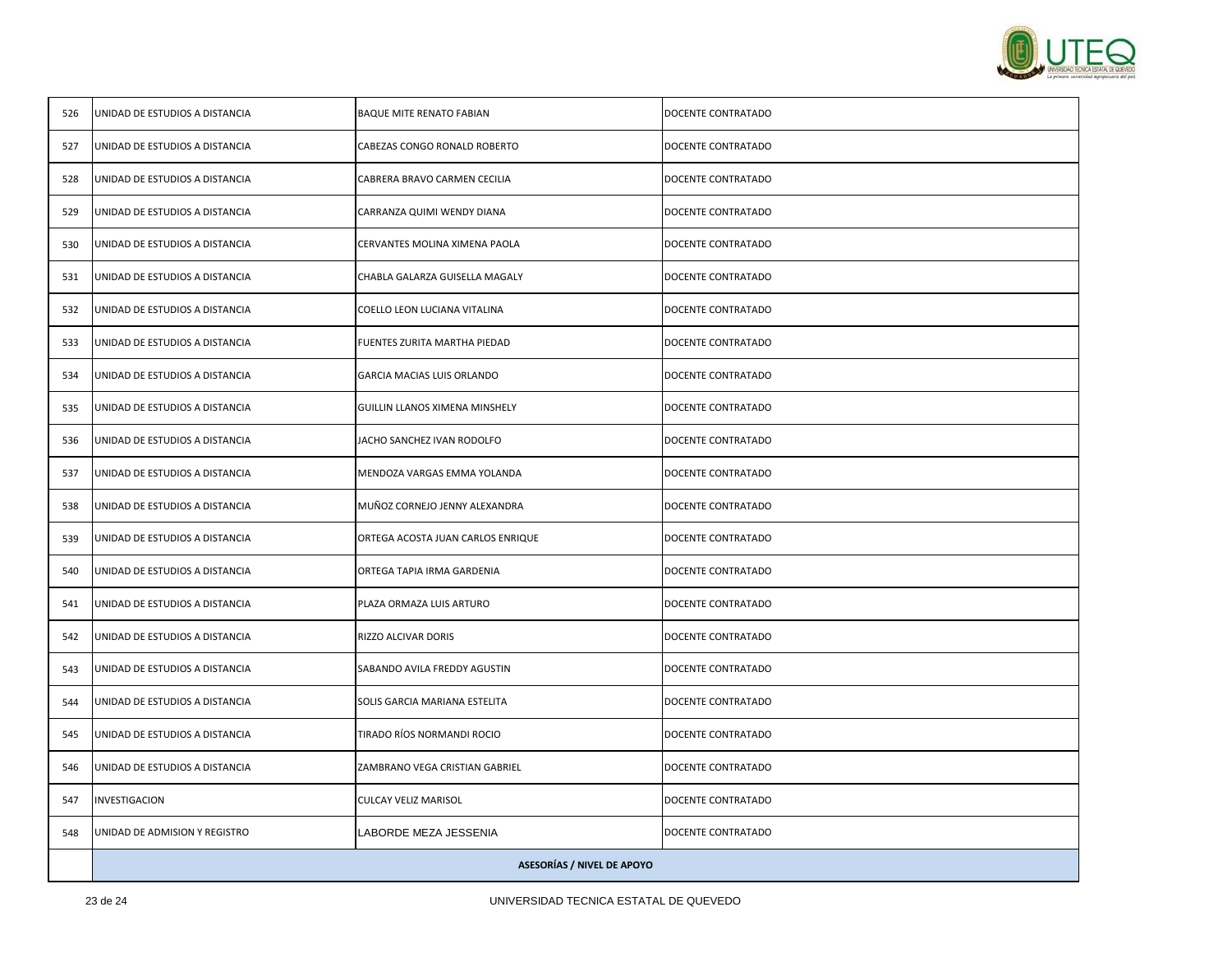

|     | <b>ASESORÍAS / NIVEL DE APOYO</b> |                                   |                    |
|-----|-----------------------------------|-----------------------------------|--------------------|
| 548 | UNIDAD DE ADMISION Y REGISTRO     | LABORDE MEZA JESSENIA             | DOCENTE CONTRATADO |
| 547 | INVESTIGACION                     | CULCAY VELIZ MARISOL              | DOCENTE CONTRATADO |
| 546 | UNIDAD DE ESTUDIOS A DISTANCIA    | ZAMBRANO VEGA CRISTIAN GABRIEL    | DOCENTE CONTRATADO |
| 545 | UNIDAD DE ESTUDIOS A DISTANCIA    | TIRADO RÍOS NORMANDI ROCIO        | DOCENTE CONTRATADO |
| 544 | UNIDAD DE ESTUDIOS A DISTANCIA    | SOLIS GARCIA MARIANA ESTELITA     | DOCENTE CONTRATADO |
| 543 | UNIDAD DE ESTUDIOS A DISTANCIA    | SABANDO AVILA FREDDY AGUSTIN      | DOCENTE CONTRATADO |
| 542 | UNIDAD DE ESTUDIOS A DISTANCIA    | RIZZO ALCIVAR DORIS               | DOCENTE CONTRATADO |
| 541 | UNIDAD DE ESTUDIOS A DISTANCIA    | PLAZA ORMAZA LUIS ARTURO          | DOCENTE CONTRATADO |
| 540 | UNIDAD DE ESTUDIOS A DISTANCIA    | ORTEGA TAPIA IRMA GARDENIA        | DOCENTE CONTRATADO |
| 539 | UNIDAD DE ESTUDIOS A DISTANCIA    | ORTEGA ACOSTA JUAN CARLOS ENRIQUE | DOCENTE CONTRATADO |
| 538 | UNIDAD DE ESTUDIOS A DISTANCIA    | MUÑOZ CORNEJO JENNY ALEXANDRA     | DOCENTE CONTRATADO |
| 537 | UNIDAD DE ESTUDIOS A DISTANCIA    | MENDOZA VARGAS EMMA YOLANDA       | DOCENTE CONTRATADO |
| 536 | UNIDAD DE ESTUDIOS A DISTANCIA    | JACHO SANCHEZ IVAN RODOLFO        | DOCENTE CONTRATADO |
| 535 | UNIDAD DE ESTUDIOS A DISTANCIA    | GUILLIN LLANOS XIMENA MINSHELY    | DOCENTE CONTRATADO |
| 534 | UNIDAD DE ESTUDIOS A DISTANCIA    | <b>GARCIA MACIAS LUIS ORLANDO</b> | DOCENTE CONTRATADO |
| 533 | UNIDAD DE ESTUDIOS A DISTANCIA    | FUENTES ZURITA MARTHA PIEDAD      | DOCENTE CONTRATADO |
| 532 | UNIDAD DE ESTUDIOS A DISTANCIA    | COELLO LEON LUCIANA VITALINA      | DOCENTE CONTRATADO |
| 531 | UNIDAD DE ESTUDIOS A DISTANCIA    | CHABLA GALARZA GUISELLA MAGALY    | DOCENTE CONTRATADO |
| 530 | UNIDAD DE ESTUDIOS A DISTANCIA    | CERVANTES MOLINA XIMENA PAOLA     | DOCENTE CONTRATADO |
| 529 | UNIDAD DE ESTUDIOS A DISTANCIA    | CARRANZA QUIMI WENDY DIANA        | DOCENTE CONTRATADO |
| 528 | UNIDAD DE ESTUDIOS A DISTANCIA    | CABRERA BRAVO CARMEN CECILIA      | DOCENTE CONTRATADO |
| 527 | UNIDAD DE ESTUDIOS A DISTANCIA    | CABEZAS CONGO RONALD ROBERTO      | DOCENTE CONTRATADO |
| 526 | UNIDAD DE ESTUDIOS A DISTANCIA    | <b>BAQUE MITE RENATO FABIAN</b>   | DOCENTE CONTRATADO |